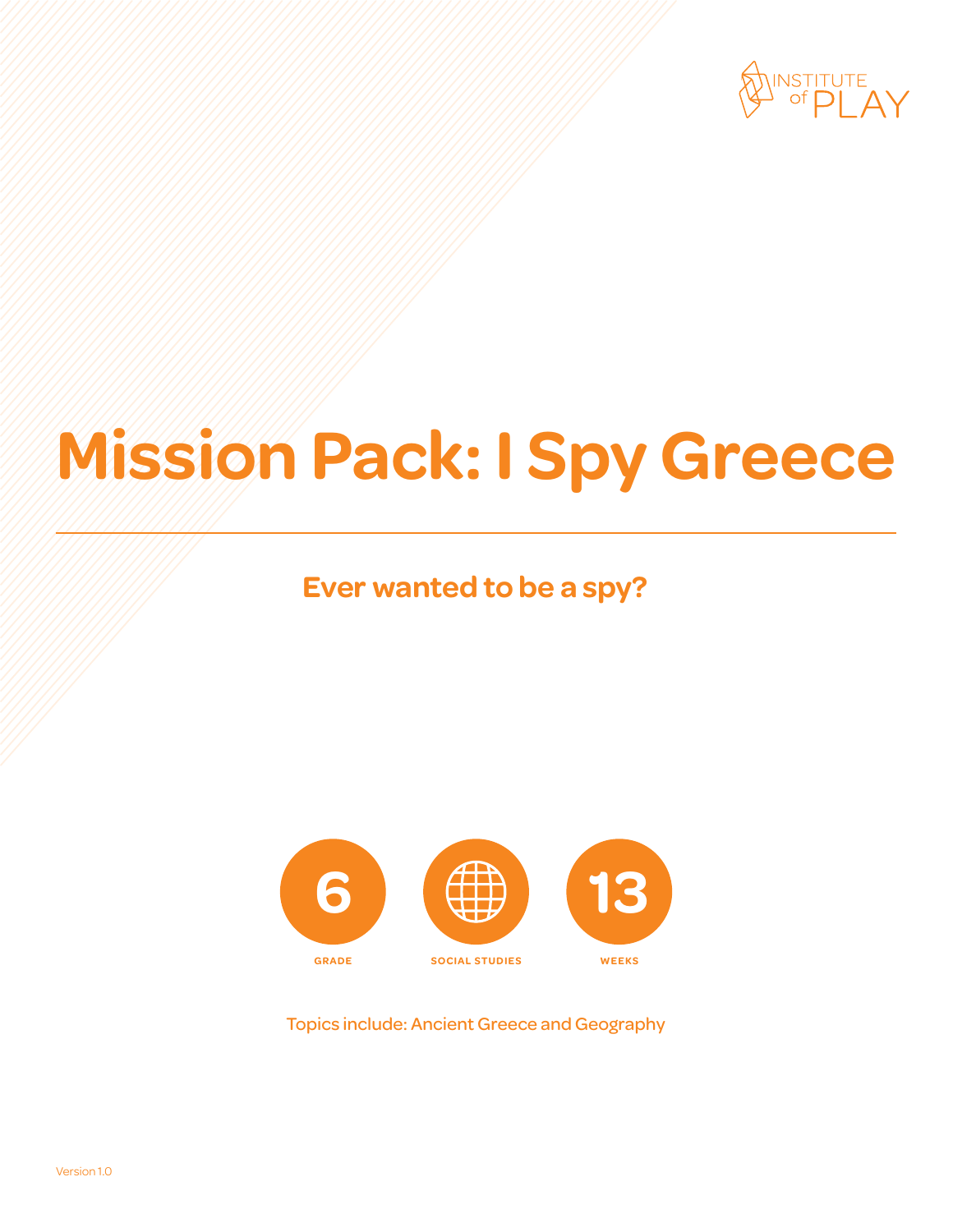

# **Mission Pack: I Spy Greece**

### **Ever wanted to be a spy?**



Topics include: Ancient Greece and Geography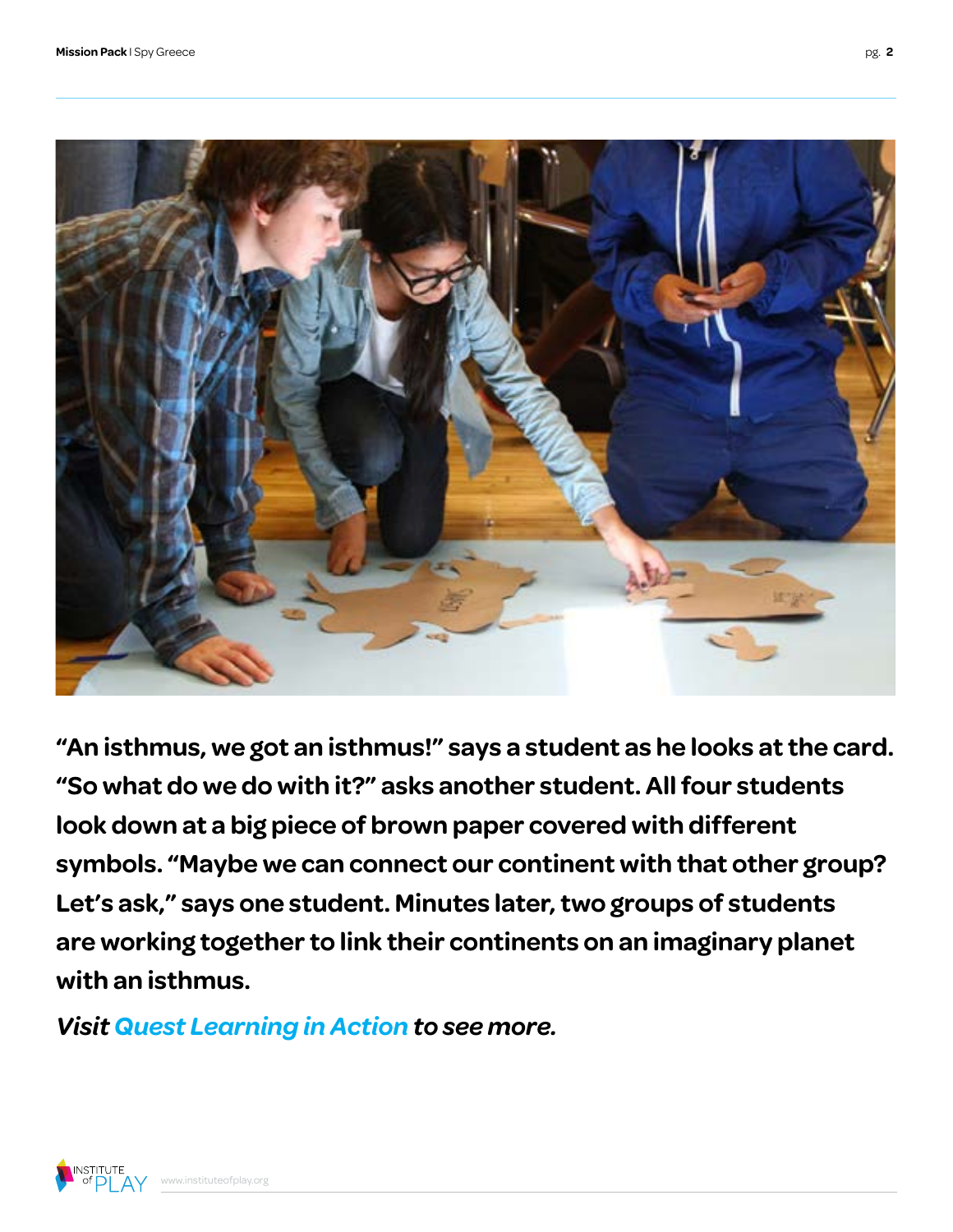

**"An isthmus, we got an isthmus!" says a student as he looks at the card. "So what do we do with it?" asks another student. All four students look down at a big piece of brown paper covered with different symbols. "Maybe we can connect our continent with that other group? Let's ask," says one student. Minutes later, two groups of students are working together to link their continents on an imaginary planet with an isthmus.**

*[Visit Quest Learning in Action to see more.](http://vimeo.com/channels/qla/63336067)*

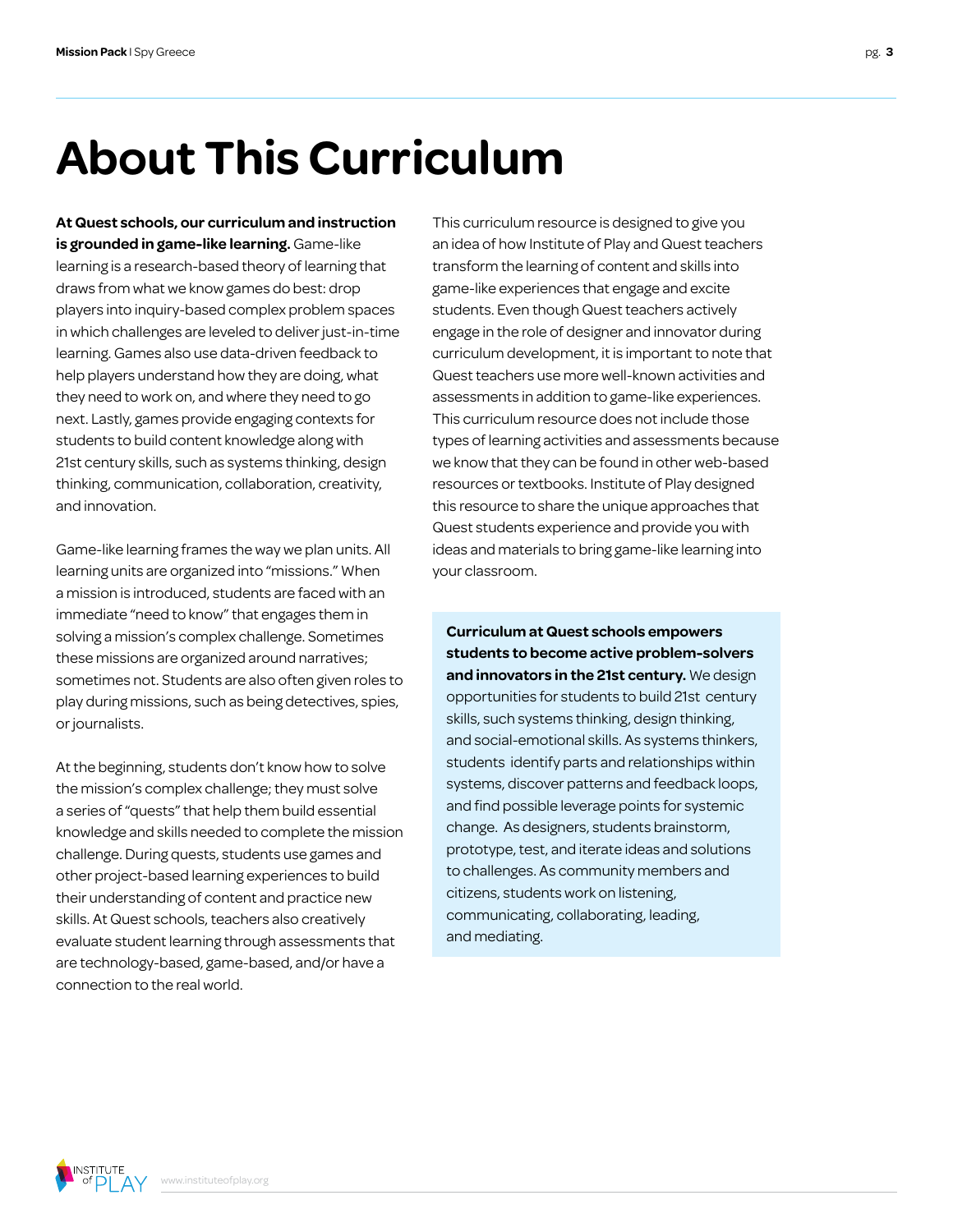# **About This Curriculum**

**At Quest schools, our curriculum and instruction is grounded in game-like learning.** Game-like learning is a research-based theory of learning that draws from what we know games do best: drop players into inquiry-based complex problem spaces in which challenges are leveled to deliver just-in-time learning. Games also use data-driven feedback to help players understand how they are doing, what they need to work on, and where they need to go next. Lastly, games provide engaging contexts for students to build content knowledge along with 21st century skills, such as systems thinking, design thinking, communication, collaboration, creativity, and innovation.

Game-like learning frames the way we plan units. All learning units are organized into "missions." When a mission is introduced, students are faced with an immediate "need to know" that engages them in solving a mission's complex challenge. Sometimes these missions are organized around narratives; sometimes not. Students are also often given roles to play during missions, such as being detectives, spies, or journalists.

At the beginning, students don't know how to solve the mission's complex challenge; they must solve a series of "quests" that help them build essential knowledge and skills needed to complete the mission challenge. During quests, students use games and other project-based learning experiences to build their understanding of content and practice new skills. At Quest schools, teachers also creatively evaluate student learning through assessments that are technology-based, game-based, and/or have a connection to the real world.

This curriculum resource is designed to give you an idea of how Institute of Play and Quest teachers transform the learning of content and skills into game-like experiences that engage and excite students. Even though Quest teachers actively engage in the role of designer and innovator during curriculum development, it is important to note that Quest teachers use more well-known activities and assessments in addition to game-like experiences. This curriculum resource does not include those types of learning activities and assessments because we know that they can be found in other web-based resources or textbooks. Institute of Play designed this resource to share the unique approaches that Quest students experience and provide you with ideas and materials to bring game-like learning into your classroom.

**Curriculum at Quest schools empowers students to become active problem-solvers and innovators in the 21st century.** We design opportunities for students to build 21st century skills, such systems thinking, design thinking, and social-emotional skills. As systems thinkers, students identify parts and relationships within systems, discover patterns and feedback loops, and find possible leverage points for systemic change. As designers, students brainstorm, prototype, test, and iterate ideas and solutions to challenges. As community members and citizens, students work on listening, communicating, collaborating, leading, and mediating.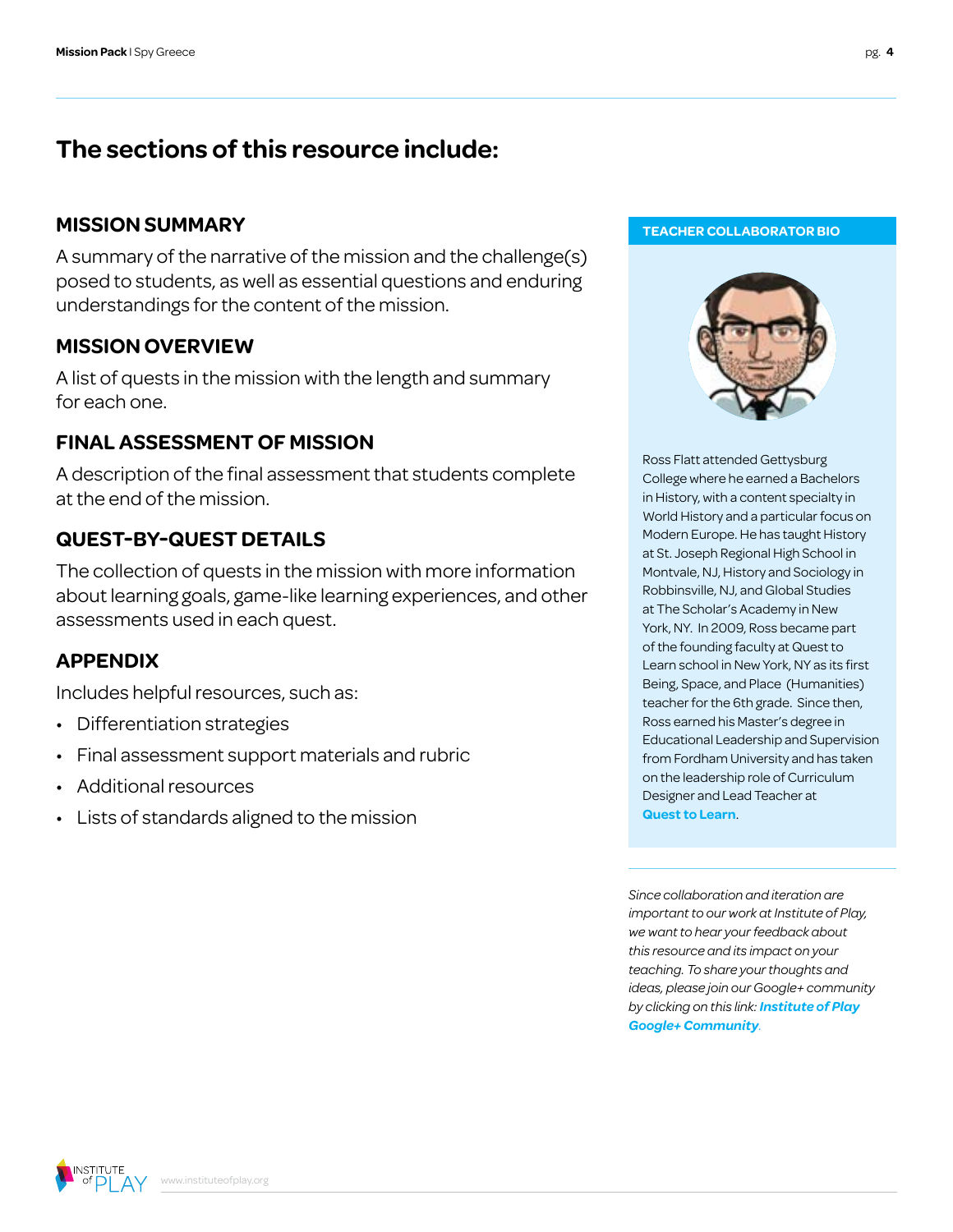### **The sections of this resource include:**

### **MISSION SUMMARY**

A summary of the narrative of the mission and the challenge(s) posed to students, as well as essential questions and enduring understandings for the content of the mission.

#### **MISSION OVERVIEW**

A list of quests in the mission with the length and summary for each one.

### **FINAL ASSESSMENT OF MISSION**

A description of the final assessment that students complete at the end of the mission.

### **QUEST-BY-QUEST DETAILS**

The collection of quests in the mission with more information about learning goals, game-like learning experiences, and other assessments used in each quest.

### **APPENDIX**

Includes helpful resources, such as:

- Differentiation strategies
- Final assessment support materials and rubric
- Additional resources
- Lists of standards aligned to the mission





Ross Flatt attended Gettysburg College where he earned a Bachelors in History, with a content specialty in World History and a particular focus on Modern Europe. He has taught History at St. Joseph Regional High School in Montvale, NJ, History and Sociology in Robbinsville, NJ, and Global Studies at The Scholar's Academy in New York, NY. In 2009, Ross became part of the founding faculty at Quest to Learn school in New York, NY as its first Being, Space, and Place (Humanities) teacher for the 6th grade. Since then, Ross earned his Master's degree in Educational Leadership and Supervision from Fordham University and has taken on the leadership role of Curriculum Designer and Lead Teacher at **[Quest to Learn](http://www.q2l.org)**.

*Since collaboration and iteration are important to our work at Institute of Play, we want to hear your feedback about this resource and its impact on your teaching. To share your thoughts and ideas, please join our Google+ community by clicking on this link: [Institute of Play](https://plus.google.com/109931113406134913780)  [Google+ Community](https://plus.google.com/109931113406134913780).*

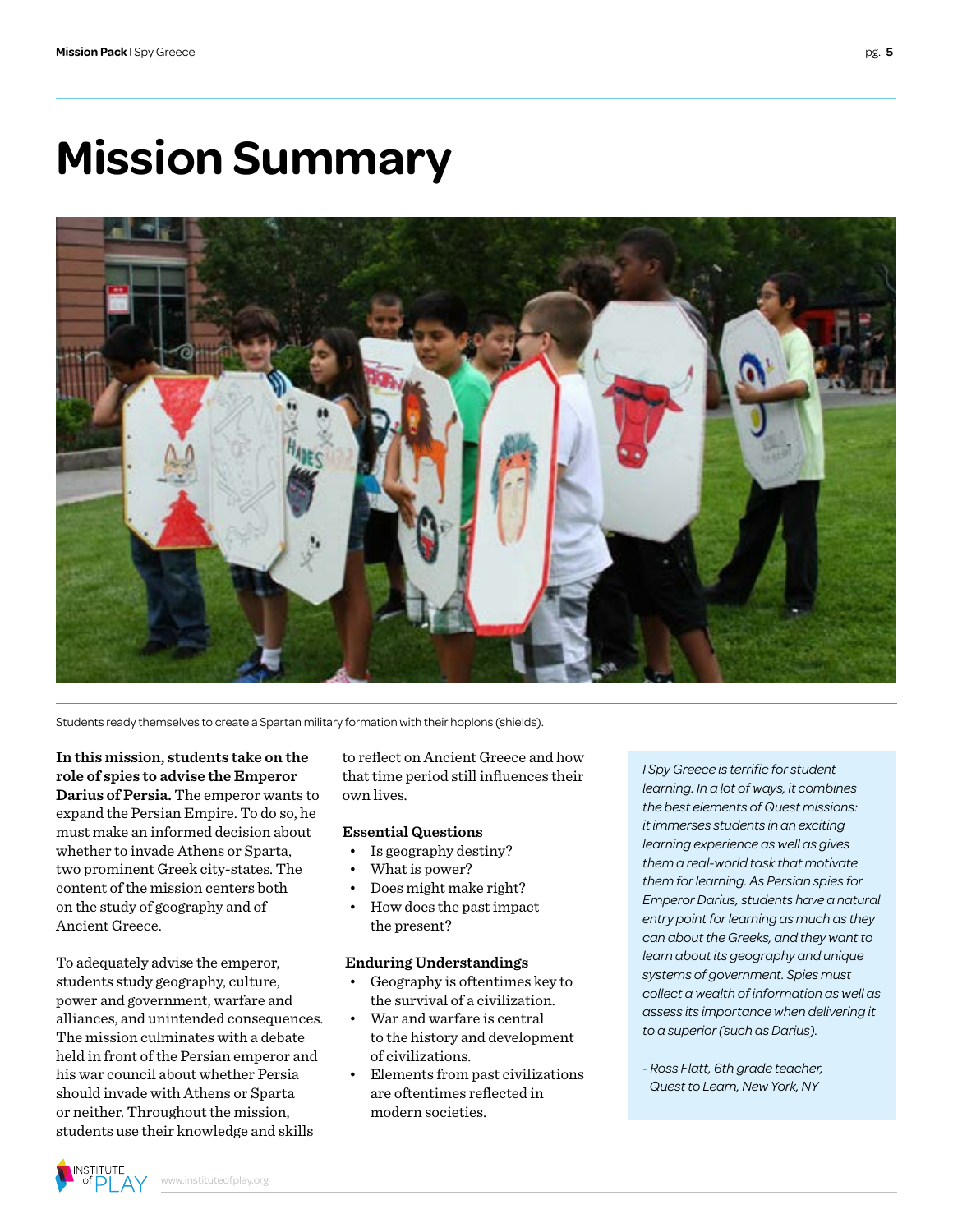# **Mission Summary**



Students ready themselves to create a Spartan military formation with their hoplons (shields).

**In this mission, students take on the role of spies to advise the Emperor Darius of Persia.** The emperor wants to expand the Persian Empire. To do so, he must make an informed decision about whether to invade Athens or Sparta, two prominent Greek city-states. The content of the mission centers both on the study of geography and of Ancient Greece.

To adequately advise the emperor, students study geography, culture, power and government, warfare and alliances, and unintended consequences. The mission culminates with a debate held in front of the Persian emperor and his war council about whether Persia should invade with Athens or Sparta or neither. Throughout the mission, students use their knowledge and skills

to reflect on Ancient Greece and how that time period still influences their own lives.

#### **Essential Questions**

- Is geography destiny?
- What is power?
- Does might make right?
- How does the past impact the present?

#### **Enduring Understandings**

- Geography is oftentimes key to the survival of a civilization.
- War and warfare is central to the history and development of civilizations.
- Elements from past civilizations are oftentimes reflected in modern societies.

*I Spy Greece is terrific for student learning. In a lot of ways, it combines the best elements of Quest missions: it immerses students in an exciting learning experience as well as gives them a real-world task that motivate them for learning. As Persian spies for Emperor Darius, students have a natural entry point for learning as much as they can about the Greeks, and they want to learn about its geography and unique systems of government. Spies must collect a wealth of information as well as assess its importance when delivering it to a superior (such as Darius).*

*- Ross Flatt, 6th grade teacher, Quest to Learn, New York, NY*

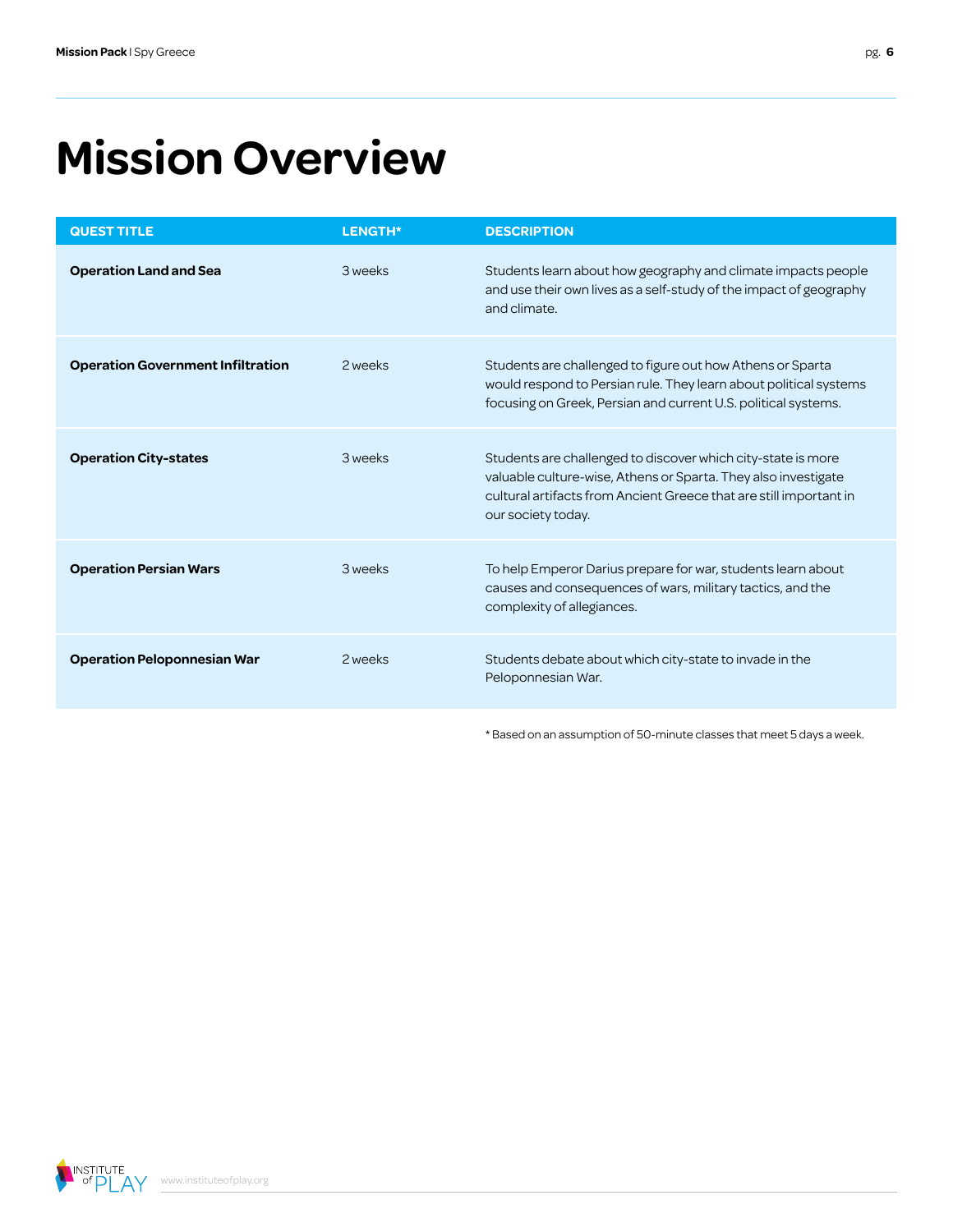# **Mission Overview**

| Students learn about how geography and climate impacts people<br>and use their own lives as a self-study of the impact of geography                                                                  |
|------------------------------------------------------------------------------------------------------------------------------------------------------------------------------------------------------|
| Students are challenged to figure out how Athens or Sparta<br>would respond to Persian rule. They learn about political systems<br>focusing on Greek, Persian and current U.S. political systems.    |
| Students are challenged to discover which city-state is more<br>valuable culture-wise, Athens or Sparta. They also investigate<br>cultural artifacts from Ancient Greece that are still important in |
| To help Emperor Darius prepare for war, students learn about<br>causes and consequences of wars, military tactics, and the                                                                           |
| Students debate about which city-state to invade in the                                                                                                                                              |
|                                                                                                                                                                                                      |

\* Based on an assumption of 50-minute classes that meet 5 days a week.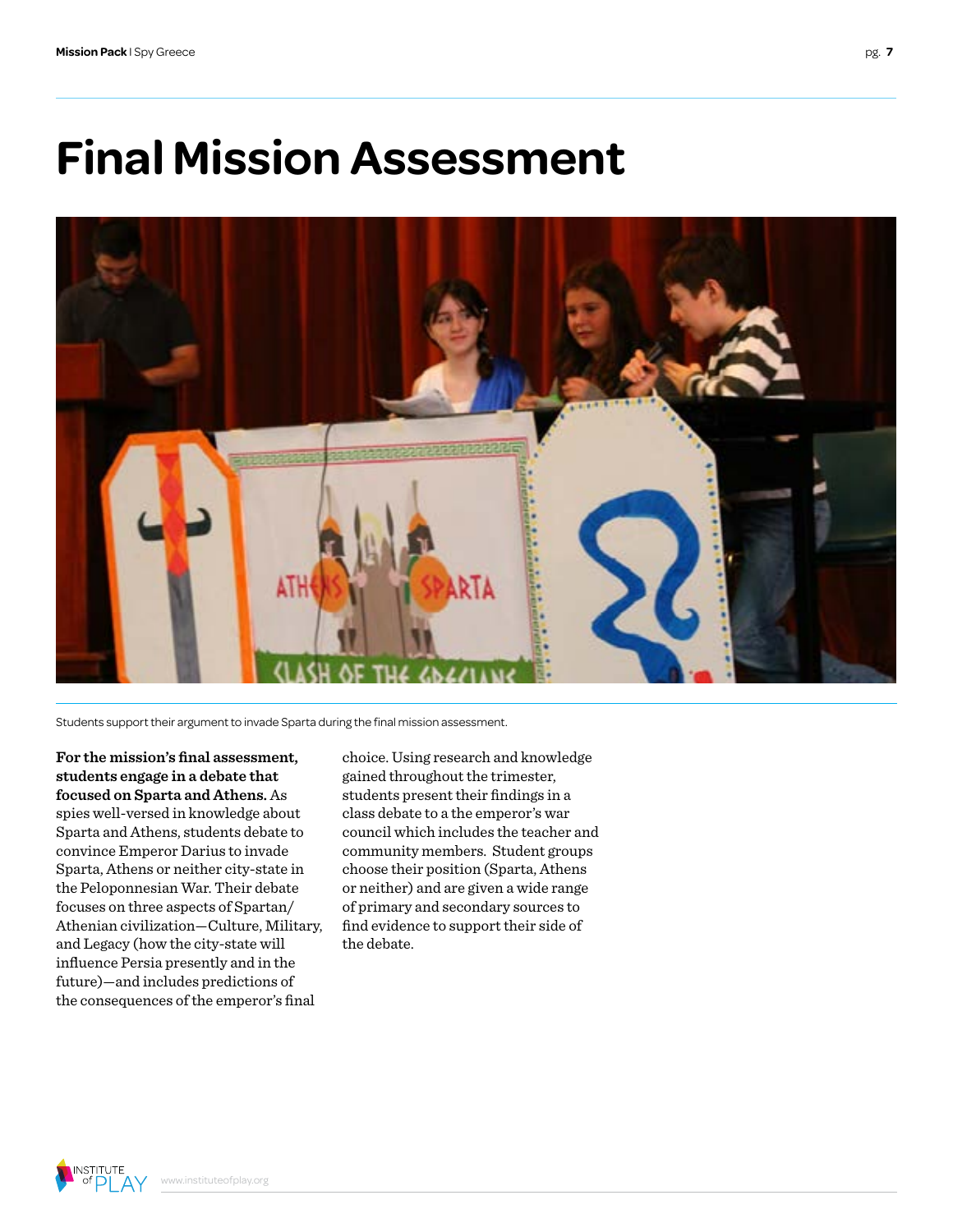### **Final Mission Assessment**



Students support their argument to invade Sparta during the final mission assessment.

**For the mission's final assessment, students engage in a debate that focused on Sparta and Athens.** As spies well-versed in knowledge about Sparta and Athens, students debate to convince Emperor Darius to invade Sparta, Athens or neither city-state in the Peloponnesian War. Their debate focuses on three aspects of Spartan/ Athenian civilization—Culture, Military, and Legacy (how the city-state will influence Persia presently and in the future)—and includes predictions of the consequences of the emperor's final

choice. Using research and knowledge gained throughout the trimester, students present their findings in a class debate to a the emperor's war council which includes the teacher and community members. Student groups choose their position (Sparta, Athens or neither) and are given a wide range of primary and secondary sources to find evidence to support their side of the debate.

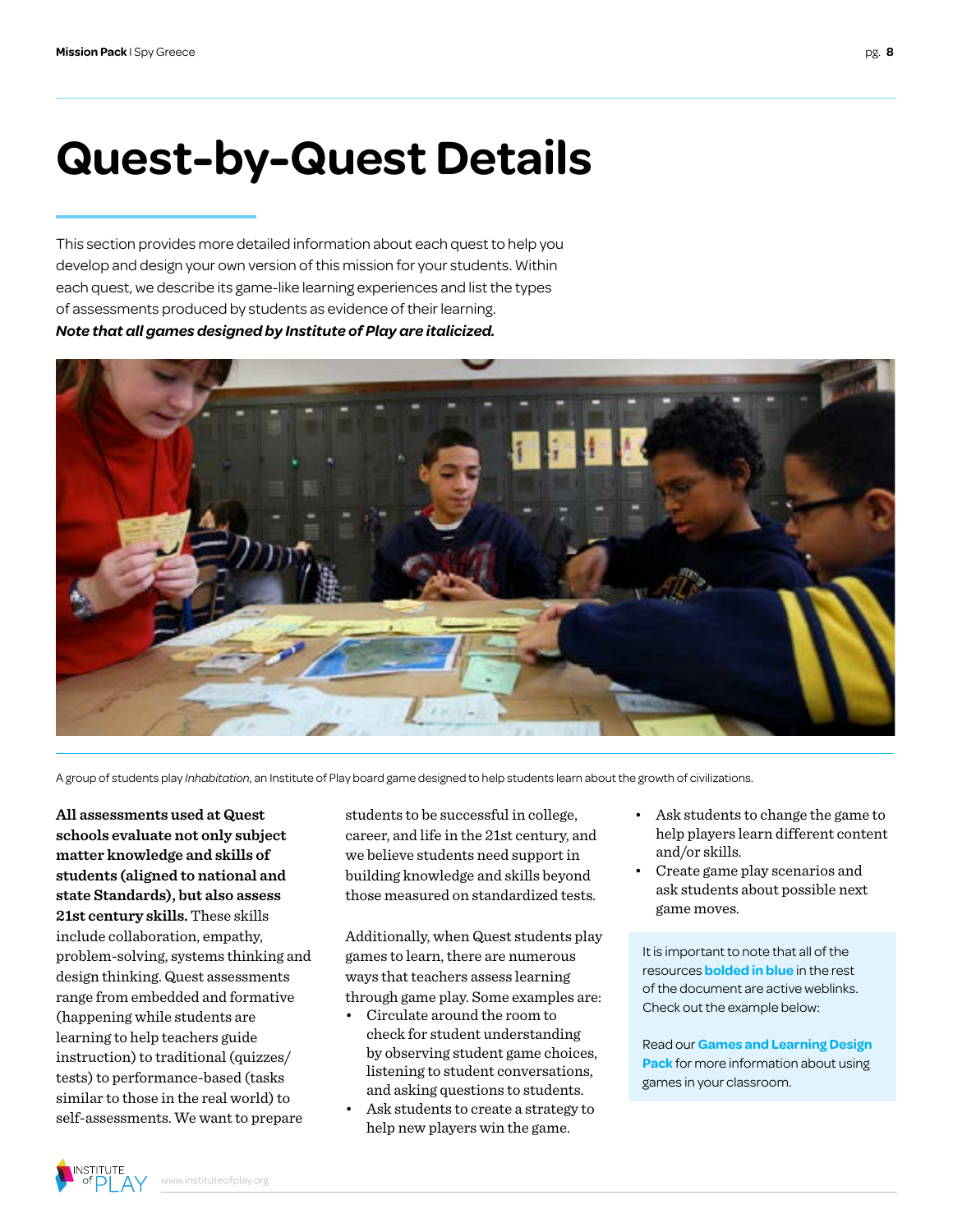## **Quest-by-Quest Details**

This section provides more detailed information about each quest to help you develop and design your own version of this mission for your students. Within each quest, we describe its game-like learning experiences and list the types of assessments produced by students as evidence of their learning. *Note that all games designed by Institute of Play are italicized.*



A group of students play *Inhabitation*, an Institute of Play board game designed to help students learn about the growth of civilizations.

**All assessments used at Quest schools evaluate not only subject matter knowledge and skills of students (aligned to national and state Standards), but also assess 21st century skills.** These skills include collaboration, empathy, problem-solving, systems thinking and design thinking. Quest assessments range from embedded and formative (happening while students are learning to help teachers guide instruction) to traditional (quizzes/ tests) to performance-based (tasks similar to those in the real world) to self-assessments. We want to prepare

students to be successful in college, career, and life in the 21st century, and we believe students need support in building knowledge and skills beyond those measured on standardized tests.

Additionally, when Quest students play games to learn, there are numerous ways that teachers assess learning through game play. Some examples are:

- Circulate around the room to check for student understanding by observing student game choices, listening to student conversations, and asking questions to students.
- Ask students to create a strategy to help new players win the game.
- Ask students to change the game to help players learn different content and/or skills.
- Create game play scenarios and ask students about possible next game moves.

It is important to note that all of the resources **bolded in blue** in the rest of the document are active weblinks. Check out the example below:

Read our **[Games and Learning Design](http://www.instituteofplay.org/work/projects/q-design-packs/q-games-and-learning-design-pack/)  Pack** [for more information about using](http://www.instituteofplay.org/work/projects/q-design-packs/q-games-and-learning-design-pack/)  [games in your classroom.](http://www.instituteofplay.org/work/projects/q-design-packs/q-games-and-learning-design-pack/)

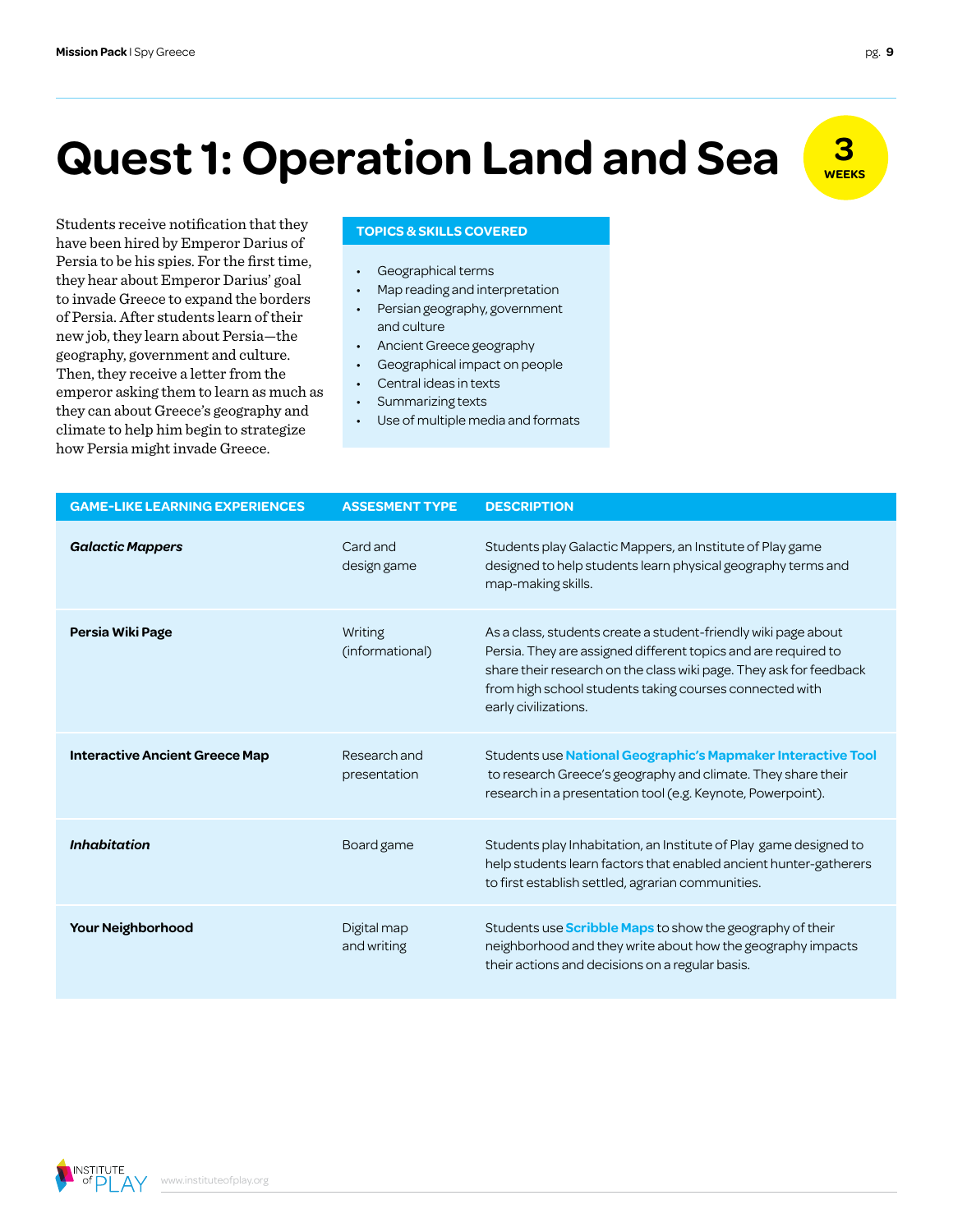# **Quest 1: Operation Land and Sea**  $\frac{3}{\sqrt{25}}$

**TOPICS & SKILLS COVERED** have been hired by Emperor Darius of Persia to be his spies. For the first time, they hear about Emperor Darius' goal to invade Greece to expand the borders of Persia. After students learn of their new job, they learn about Persia—the geography, government and culture. Then, they receive a letter from the emperor asking them to learn as much as they can about Greece's geography and climate to help him begin to strategize how Persia might invade Greece.

- Geographical terms
- Map reading and interpretation
- Persian geography, government and culture
- Ancient Greece geography
- Geographical impact on people
- Central ideas in texts
- Summarizing texts
- Use of multiple media and formats

| <b>GAME-LIKE LEARNING EXPERIENCES</b> | <b>ASSESMENT TYPE</b>        | <b>DESCRIPTION</b>                                                                                                                                                                                                                                                                        |
|---------------------------------------|------------------------------|-------------------------------------------------------------------------------------------------------------------------------------------------------------------------------------------------------------------------------------------------------------------------------------------|
| <b>Galactic Mappers</b>               | Card and<br>design game      | Students play Galactic Mappers, an Institute of Play game<br>designed to help students learn physical geography terms and<br>map-making skills.                                                                                                                                           |
| Persia Wiki Page                      | Writing<br>(informational)   | As a class, students create a student-friendly wiki page about<br>Persia. They are assigned different topics and are required to<br>share their research on the class wiki page. They ask for feedback<br>from high school students taking courses connected with<br>early civilizations. |
| <b>Interactive Ancient Greece Map</b> | Research and<br>presentation | Students use National Geographic's Mapmaker Interactive Tool<br>to research Greece's geography and climate. They share their<br>research in a presentation tool (e.g. Keynote, Powerpoint).                                                                                               |
| <b>Inhabitation</b>                   | Board game                   | Students play Inhabitation, an Institute of Play game designed to<br>help students learn factors that enabled ancient hunter-gatherers<br>to first establish settled, agrarian communities.                                                                                               |
| Your Neighborhood                     | Digital map<br>and writing   | Students use <b>Scribble Maps</b> to show the geography of their<br>neighborhood and they write about how the geography impacts<br>their actions and decisions on a regular basis.                                                                                                        |

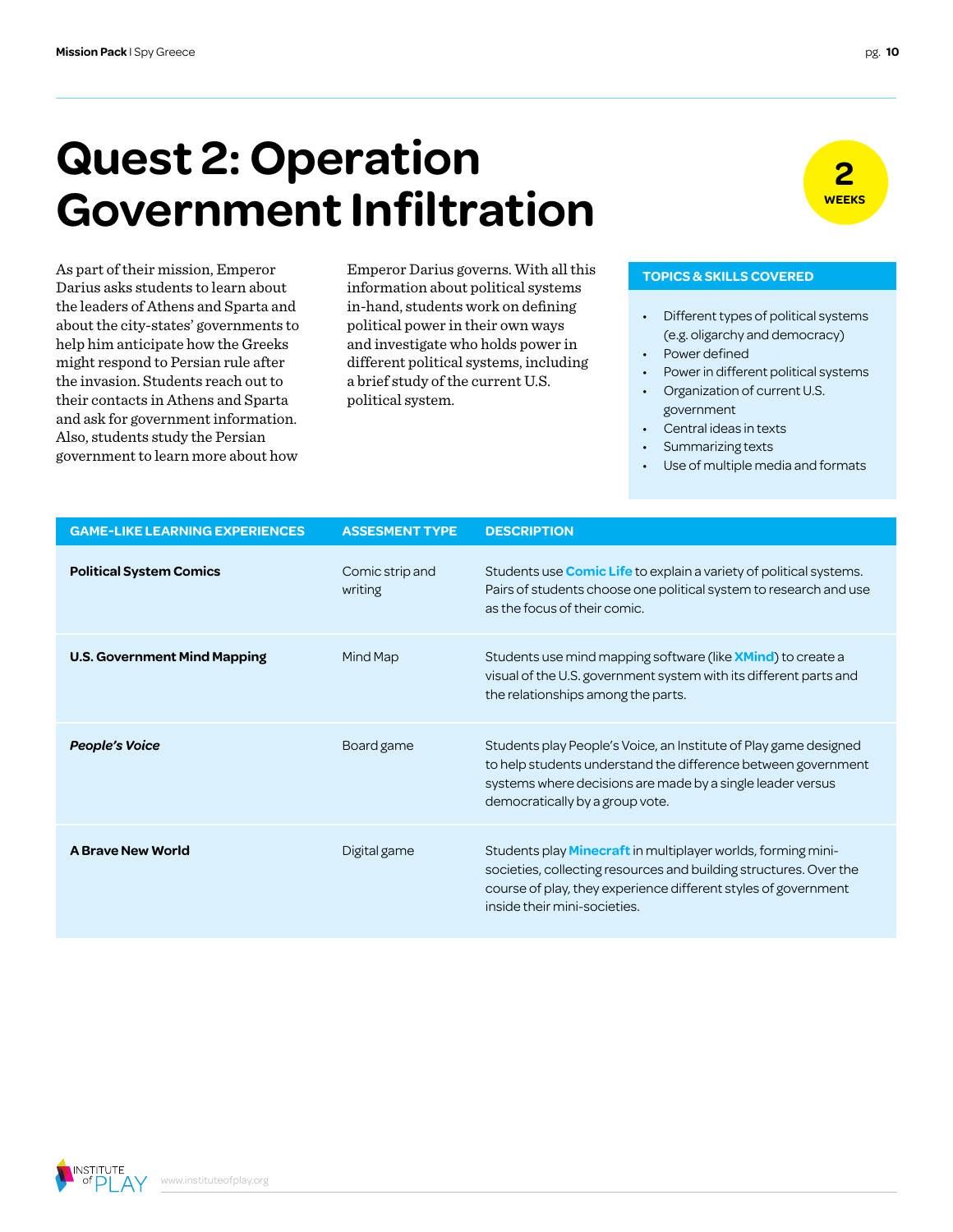Darius asks students to learn about the leaders of Athens and Sparta and about the city-states' governments to help him anticipate how the Greeks might respond to Persian rule after the invasion. Students reach out to their contacts in Athens and Sparta and ask for government information. Also, students study the Persian government to learn more about how

### **Quest 2: Operation Government Infiltration**



#### As part of their mission, Emperor **Emperor Darius governs. With all this TOPICS & SKILLS COVERED** information about political systems in-hand, students work on defining political power in their own ways and investigate who holds power in different political systems, including a brief study of the current U.S. political system.

- Different types of political systems (e.g. oligarchy and democracy)
- Power defined
- Power in different political systems
- Organization of current U.S. government
- Central ideas in texts
- Summarizing texts
- Use of multiple media and formats

| <b>GAME-LIKE LEARNING EXPERIENCES</b> | <b>ASSESMENT TYPE</b>      | <b>DESCRIPTION</b>                                                                                                                                                                                                                         |
|---------------------------------------|----------------------------|--------------------------------------------------------------------------------------------------------------------------------------------------------------------------------------------------------------------------------------------|
| <b>Political System Comics</b>        | Comic strip and<br>writing | Students use <b>Comic Life</b> to explain a variety of political systems.<br>Pairs of students choose one political system to research and use<br>as the focus of their comic.                                                             |
| <b>U.S. Government Mind Mapping</b>   | Mind Map                   | Students use mind mapping software (like <b>XMind</b> ) to create a<br>visual of the U.S. government system with its different parts and<br>the relationships among the parts.                                                             |
| <b>People's Voice</b>                 | Board game                 | Students play People's Voice, an Institute of Play game designed<br>to help students understand the difference between government<br>systems where decisions are made by a single leader versus<br>democratically by a group vote.         |
| <b>A Brave New World</b>              | Digital game               | Students play <b>Minecraft</b> in multiplayer worlds, forming mini-<br>societies, collecting resources and building structures. Over the<br>course of play, they experience different styles of government<br>inside their mini-societies. |

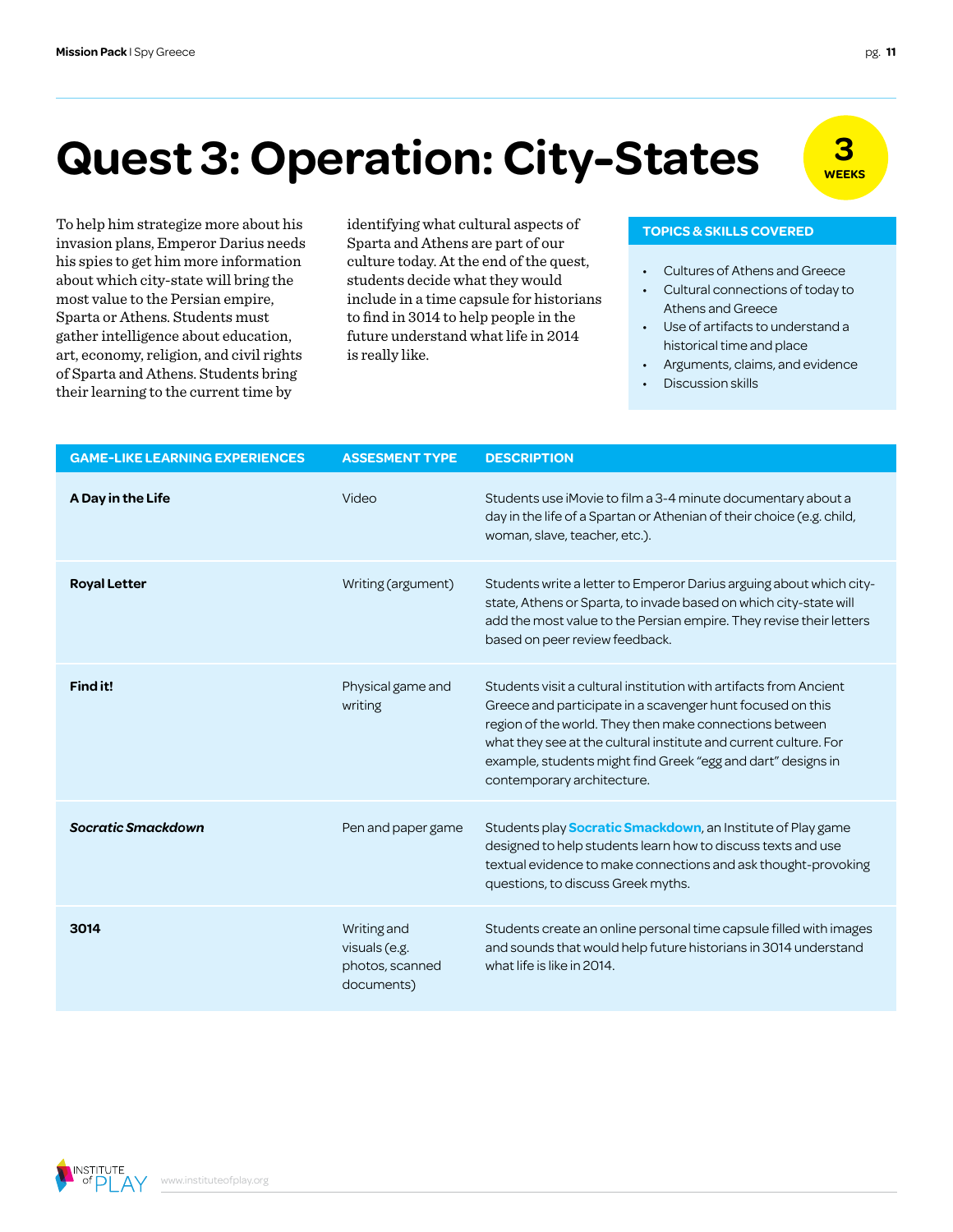## **Quest 3: Operation: City-States**

invasion plans, Emperor Darius needs his spies to get him more information about which city-state will bring the most value to the Persian empire, Sparta or Athens. Students must gather intelligence about education, art, economy, religion, and civil rights of Sparta and Athens. Students bring their learning to the current time by

To help him strategize more about his identifying what cultural aspects of **TOPICS & SKILLS COVERED** identifying what cultural aspects of Sparta and Athens are part of our culture today. At the end of the quest, students decide what they would include in a time capsule for historians to find in 3014 to help people in the future understand what life in 2014 is really like.

- Cultures of Athens and Greece
- Cultural connections of today to Athens and Greece
- Use of artifacts to understand a historical time and place
- Arguments, claims, and evidence
- Discussion skills

| <b>GAME-LIKE LEARNING EXPERIENCES</b> | <b>ASSESMENT TYPE</b>                                         | <b>DESCRIPTION</b>                                                                                                                                                                                                                                                                                                                                           |
|---------------------------------------|---------------------------------------------------------------|--------------------------------------------------------------------------------------------------------------------------------------------------------------------------------------------------------------------------------------------------------------------------------------------------------------------------------------------------------------|
| A Day in the Life                     | Video                                                         | Students use iMovie to film a 3-4 minute documentary about a<br>day in the life of a Spartan or Athenian of their choice (e.g. child,<br>woman, slave, teacher, etc.).                                                                                                                                                                                       |
| <b>Royal Letter</b>                   | Writing (argument)                                            | Students write a letter to Emperor Darius arguing about which city-<br>state, Athens or Sparta, to invade based on which city-state will<br>add the most value to the Persian empire. They revise their letters<br>based on peer review feedback.                                                                                                            |
| Find it!                              | Physical game and<br>writing                                  | Students visit a cultural institution with artifacts from Ancient<br>Greece and participate in a scavenger hunt focused on this<br>region of the world. They then make connections between<br>what they see at the cultural institute and current culture. For<br>example, students might find Greek "egg and dart" designs in<br>contemporary architecture. |
| <b>Socratic Smackdown</b>             | Pen and paper game                                            | Students play <b>Socratic Smackdown</b> , an Institute of Play game<br>designed to help students learn how to discuss texts and use<br>textual evidence to make connections and ask thought-provoking<br>questions, to discuss Greek myths.                                                                                                                  |
| 3014                                  | Writing and<br>visuals (e.g.<br>photos, scanned<br>documents) | Students create an online personal time capsule filled with images<br>and sounds that would help future historians in 3014 understand<br>what life is like in 2014.                                                                                                                                                                                          |

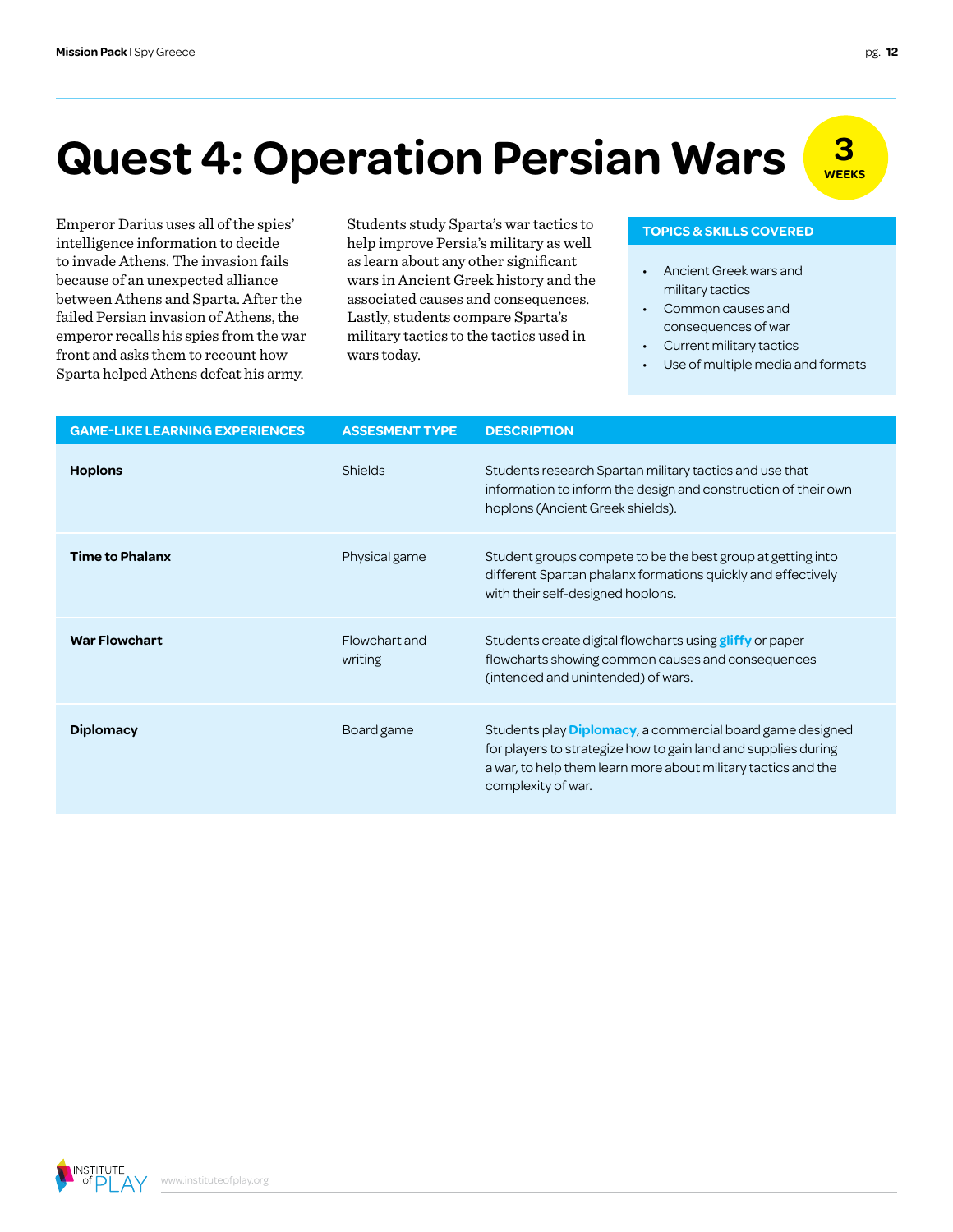# **Quest 4: Operation Persian Wars**  $\frac{3}{\sqrt{25}}$

intelligence information to decide to invade Athens. The invasion fails because of an unexpected alliance between Athens and Sparta. After the failed Persian invasion of Athens, the emperor recalls his spies from the war front and asks them to recount how Sparta helped Athens defeat his army.

Emperor Darius uses all of the spies' Students study Sparta's war tactics to **TOPICS & SKILLS COVERED** help improve Persia's military as well as learn about any other significant wars in Ancient Greek history and the associated causes and consequences. Lastly, students compare Sparta's military tactics to the tactics used in wars today.

- Ancient Greek wars and military tactics
- Common causes and consequences of war
- Current military tactics
- Use of multiple media and formats

| <b>GAME-LIKE LEARNING EXPERIENCES</b> | <b>ASSESMENT TYPE</b>    | <b>DESCRIPTION</b>                                                                                                                                                                                                         |
|---------------------------------------|--------------------------|----------------------------------------------------------------------------------------------------------------------------------------------------------------------------------------------------------------------------|
| <b>Hoplons</b>                        | <b>Shields</b>           | Students research Spartan military tactics and use that<br>information to inform the design and construction of their own<br>hoplons (Ancient Greek shields).                                                              |
| <b>Time to Phalanx</b>                | Physical game            | Student groups compete to be the best group at getting into<br>different Spartan phalanx formations quickly and effectively<br>with their self-designed hoplons.                                                           |
| <b>War Flowchart</b>                  | Flowchart and<br>writing | Students create digital flowcharts using <b>gliffy</b> or paper<br>flowcharts showing common causes and consequences<br>(intended and unintended) of wars.                                                                 |
| <b>Diplomacy</b>                      | Board game               | Students play <b>Diplomacy</b> , a commercial board game designed<br>for players to strategize how to gain land and supplies during<br>a war, to help them learn more about military tactics and the<br>complexity of war. |

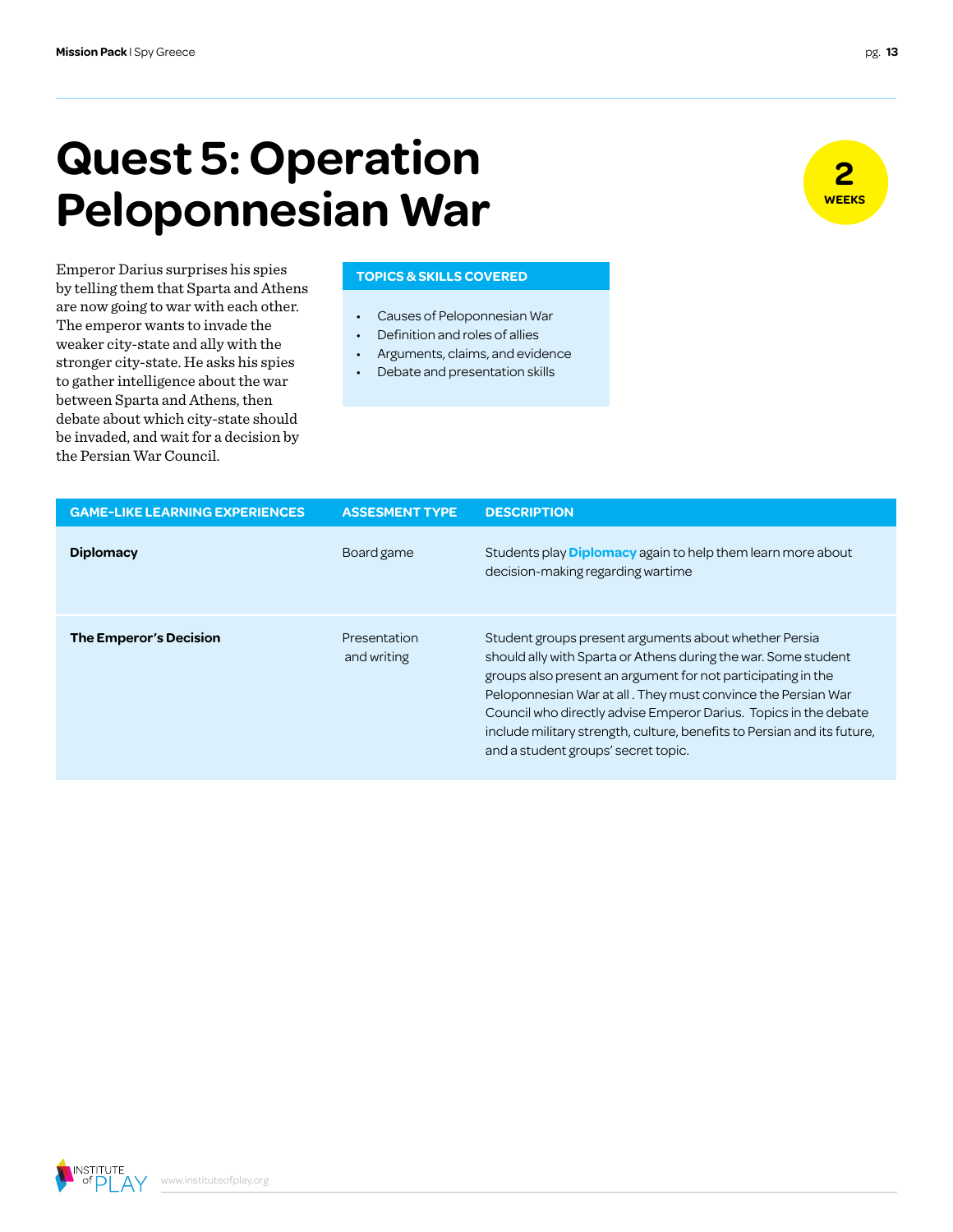### **Quest 5: Operation Peloponnesian War**

**Emperor Darius surprises his spies** TOPICS & SKILLS COVERED by telling them that Sparta and Athens are now going to war with each other. The emperor wants to invade the weaker city-state and ally with the stronger city-state. He asks his spies to gather intelligence about the war between Sparta and Athens, then debate about which city-state should be invaded, and wait for a decision by the Persian War Council.

- Causes of Peloponnesian War
- Definition and roles of allies
- Arguments, claims, and evidence
- Debate and presentation skills

| <b>GAME-LIKE LEARNING EXPERIENCES</b> | <b>ASSESMENT TYPE</b>       | <b>DESCRIPTION</b>                                                                                                                                                                                                                                                                                                                                                                                                                            |
|---------------------------------------|-----------------------------|-----------------------------------------------------------------------------------------------------------------------------------------------------------------------------------------------------------------------------------------------------------------------------------------------------------------------------------------------------------------------------------------------------------------------------------------------|
| <b>Diplomacy</b>                      | Board game                  | Students play <b>Diplomacy</b> again to help them learn more about<br>decision-making regarding wartime                                                                                                                                                                                                                                                                                                                                       |
| The Emperor's Decision                | Presentation<br>and writing | Student groups present arguments about whether Persia<br>should ally with Sparta or Athens during the war. Some student<br>groups also present an argument for not participating in the<br>Peloponnesian War at all. They must convince the Persian War<br>Council who directly advise Emperor Darius. Topics in the debate<br>include military strength, culture, benefits to Persian and its future,<br>and a student groups' secret topic. |





**INSTITUTE**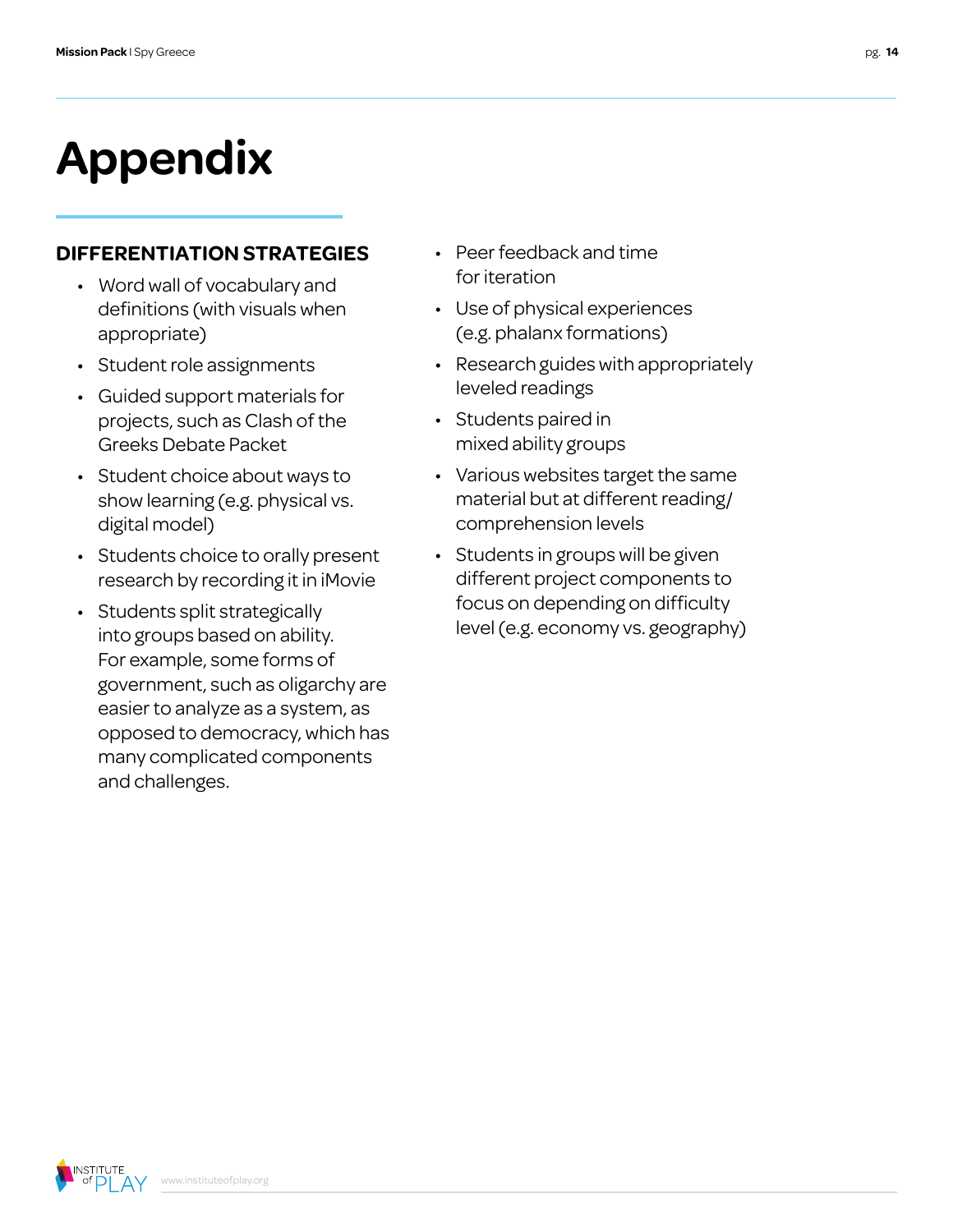# **Appendix**

### **DIFFERENTIATION STRATEGIES**

- Word wall of vocabulary and definitions (with visuals when appropriate)
- Student role assignments
- Guided support materials for projects, such as Clash of the Greeks Debate Packet
- Student choice about ways to show learning (e.g. physical vs. digital model)
- Students choice to orally present research by recording it in iMovie
- Students split strategically into groups based on ability. For example, some forms of government, such as oligarchy are easier to analyze as a system, as opposed to democracy, which has many complicated components and challenges.
- Peer feedback and time for iteration
- Use of physical experiences (e.g. phalanx formations)
- Research guides with appropriately leveled readings
- Students paired in mixed ability groups
- Various websites target the same material but at different reading/ comprehension levels
- Students in groups will be given different project components to focus on depending on difficulty level (e.g. economy vs. geography)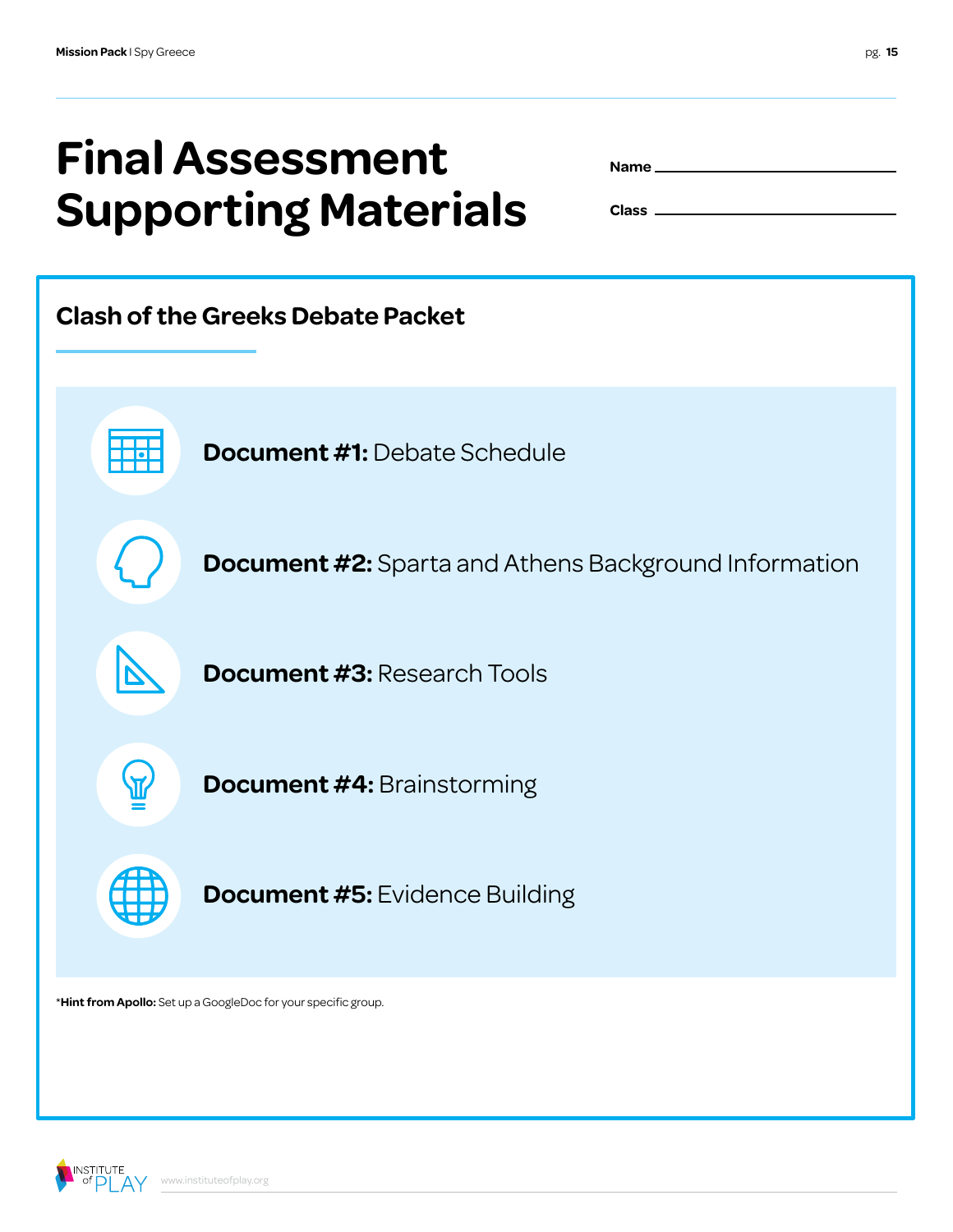# **Final Assessment Supporting Materials**

| Name __ |  |
|---------|--|
|         |  |

**Class**



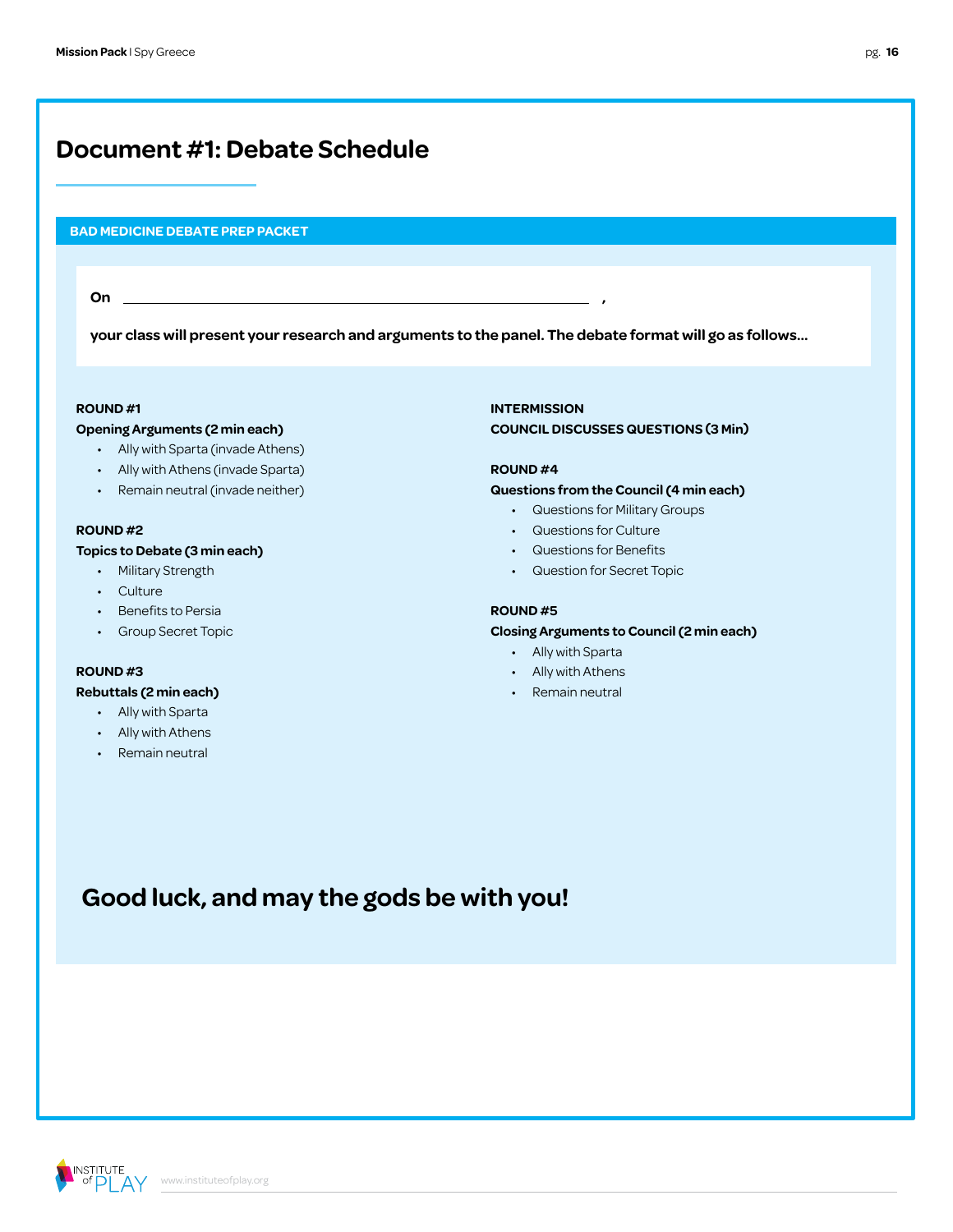### **Document #1: Debate Schedule**

#### **BAD MEDICINE DEBATE PREP PACKET**

**On ,**

**your class will present your research and arguments to the panel. The debate format will go as follows…**

#### **ROUND #1**

#### **Opening Arguments (2 min each)**

- Ally with Sparta (invade Athens)
- Ally with Athens (invade Sparta)
- Remain neutral (invade neither)

#### **ROUND #2**

#### **Topics to Debate (3 min each)**

- Military Strength
- Culture
- Benefits to Persia
- Group Secret Topic

### **ROUND #3**

#### **Rebuttals (2 min each)**

- Ally with Sparta
- Ally with Athens
- Remain neutral

**INTERMISSION COUNCIL DISCUSSES QUESTIONS (3 Min)**

#### **ROUND #4**

#### **Questions from the Council (4 min each)**

- Questions for Military Groups
- Questions for Culture
- Questions for Benefits
- Question for Secret Topic

#### **ROUND #5**

#### **Closing Arguments to Council (2 min each)**

- Ally with Sparta
- Ally with Athens
- Remain neutral

### **Good luck, and may the gods be with you!**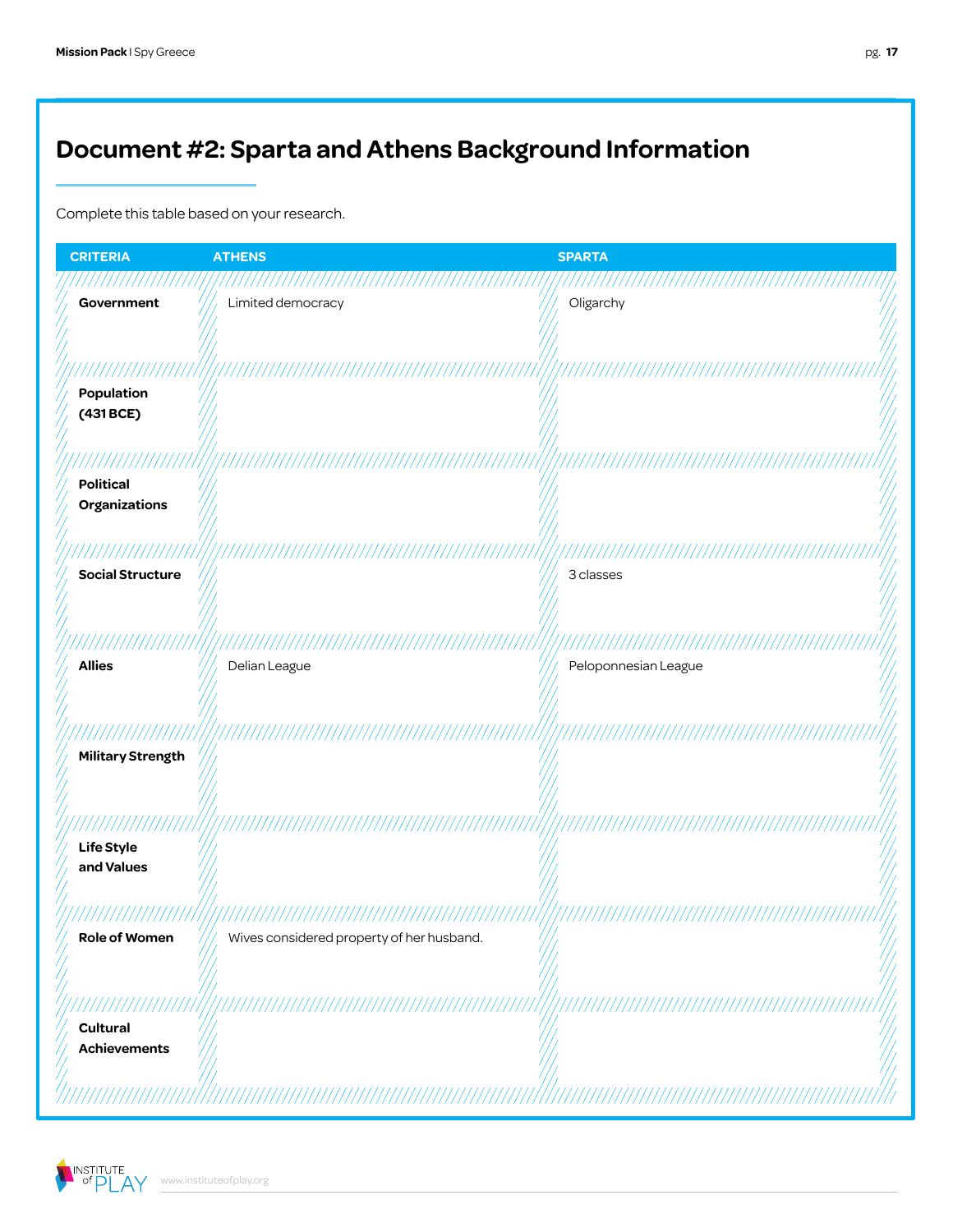### **Document #2: Sparta and Athens Background Information**

Complete this table based on your research.

| <b>CRITERIA</b>                          | <b>ATHENS</b>                             | <b>SPARTA</b>        |
|------------------------------------------|-------------------------------------------|----------------------|
| Government                               | Limited democracy                         | Oligarchy            |
|                                          |                                           |                      |
|                                          |                                           |                      |
| Population<br>(431 BCE)                  |                                           |                      |
|                                          |                                           |                      |
| <b>Political</b><br><b>Organizations</b> |                                           |                      |
|                                          |                                           |                      |
|                                          |                                           |                      |
| <b>Social Structure</b>                  |                                           | 3 classes            |
|                                          |                                           |                      |
| <b>Allies</b>                            |                                           |                      |
|                                          | Delian League                             | Peloponnesian League |
|                                          |                                           |                      |
| <b>Military Strength</b>                 |                                           |                      |
|                                          |                                           |                      |
| ///////                                  |                                           |                      |
| Life Style                               |                                           |                      |
| and Values                               |                                           |                      |
|                                          |                                           |                      |
| <b>Role of Women</b>                     | Wives considered property of her husband. |                      |
|                                          |                                           |                      |
| 777777777777777777                       |                                           |                      |
| <b>Cultural</b><br><b>Achievements</b>   |                                           |                      |
|                                          |                                           |                      |
|                                          |                                           |                      |

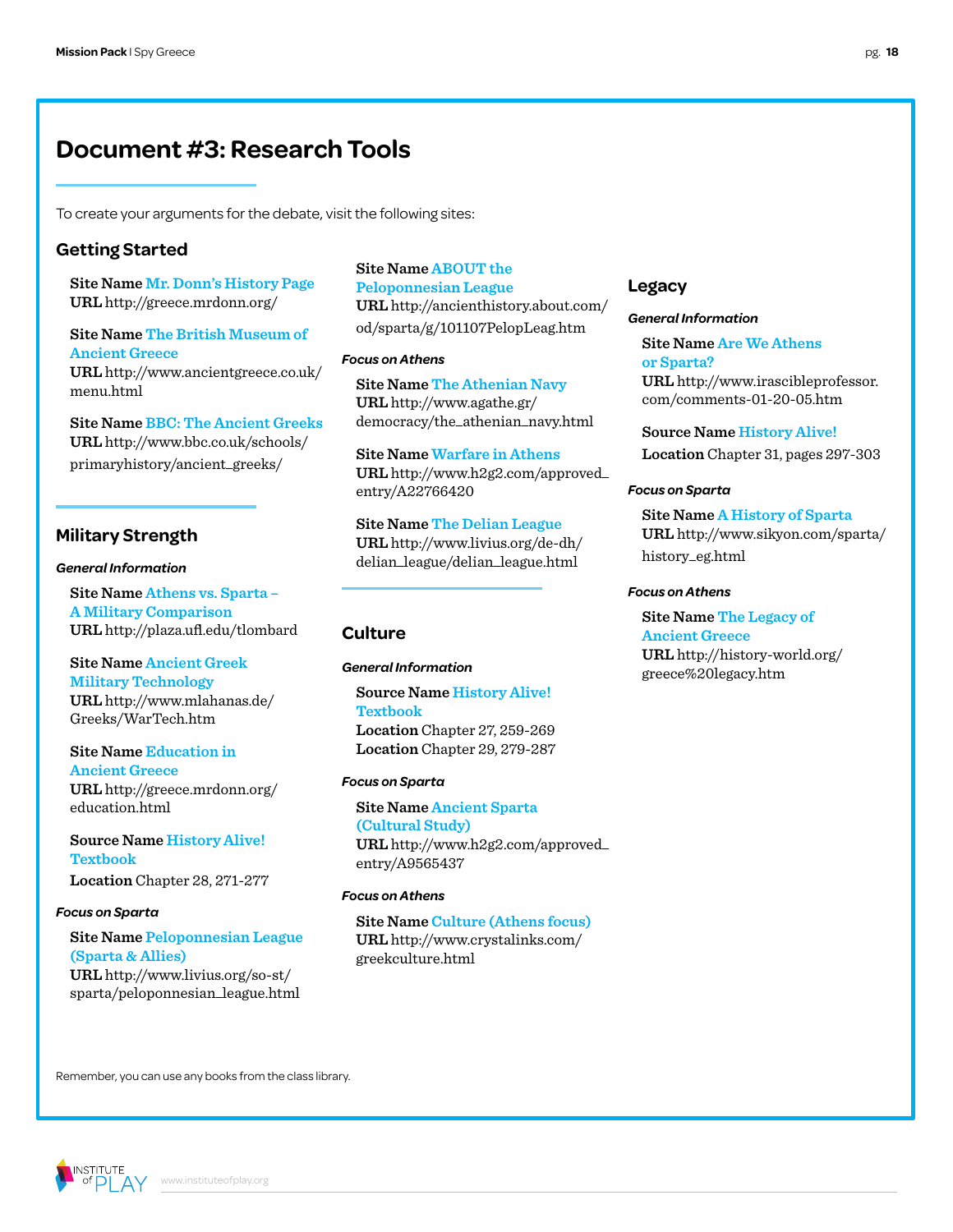### **Document #3: Research Tools**

To create your arguments for the debate, visit the following sites:

#### **Getting Started**

**Site Name Mr. Donn's History Page URL** http://greece.mrdonn.org/

**Site Name The British Museum of Ancient Greece URL** http://www.ancientgreece.co.uk/ menu.html

**Site Name BBC: The Ancient Greeks URL** http://www.bbc.co.uk/schools/ primaryhistory/ancient\_greeks/

#### **Military Strength**

#### *General Information*

**Site Name Athens vs. Sparta – A Military Comparison URL** http://plaza.ufl.edu/tlombard

#### **Site Name Ancient Greek Military Technology**

**URL** http://www.mlahanas.de/ Greeks/WarTech.htm

**Site Name Education in Ancient Greece URL** http://greece.mrdonn.org/ education.html

**Source Name History Alive! Textbook Location** Chapter 28, 271-277

#### *Focus on Sparta*

#### **Site Name Peloponnesian League (Sparta & Allies) URL** http://www.livius.org/so-st/

sparta/peloponnesian\_league.html

#### **Site Name ABOUT the Peloponnesian League URL** http://ancienthistory.about.com/ od/sparta/g/101107PelopLeag.htm

#### *Focus on Athens*

**Site Name The Athenian Navy URL** http://www.agathe.gr/ democracy/the\_athenian\_navy.html

**Site Name Warfare in Athens URL** http://www.h2g2.com/approved\_ entry/A22766420

**Site Name The Delian League URL** http://www.livius.org/de-dh/ delian\_league/delian\_league.html

#### **Culture**

#### *General Information*

**Source Name History Alive! Textbook Location** Chapter 27, 259-269 **Location** Chapter 29, 279-287

#### *Focus on Sparta*

**Site Name Ancient Sparta (Cultural Study) URL** http://www.h2g2.com/approved\_ entry/A9565437

#### *Focus on Athens*

**Site Name Culture (Athens focus) URL** http://www.crystalinks.com/ greekculture.html

#### **Legacy**

#### *General Information*

**Site Name Are We Athens or Sparta? URL** http://www.irascibleprofessor. com/comments-01-20-05.htm

**Source Name History Alive! Location** Chapter 31, pages 297-303

#### *Focus on Sparta*

**Site Name A History of Sparta URL** http://www.sikyon.com/sparta/ history\_eg.html

#### *Focus on Athens*

**Site Name The Legacy of Ancient Greece URL** http://history-world.org/ greece%20legacy.htm

Remember, you can use any books from the class library.

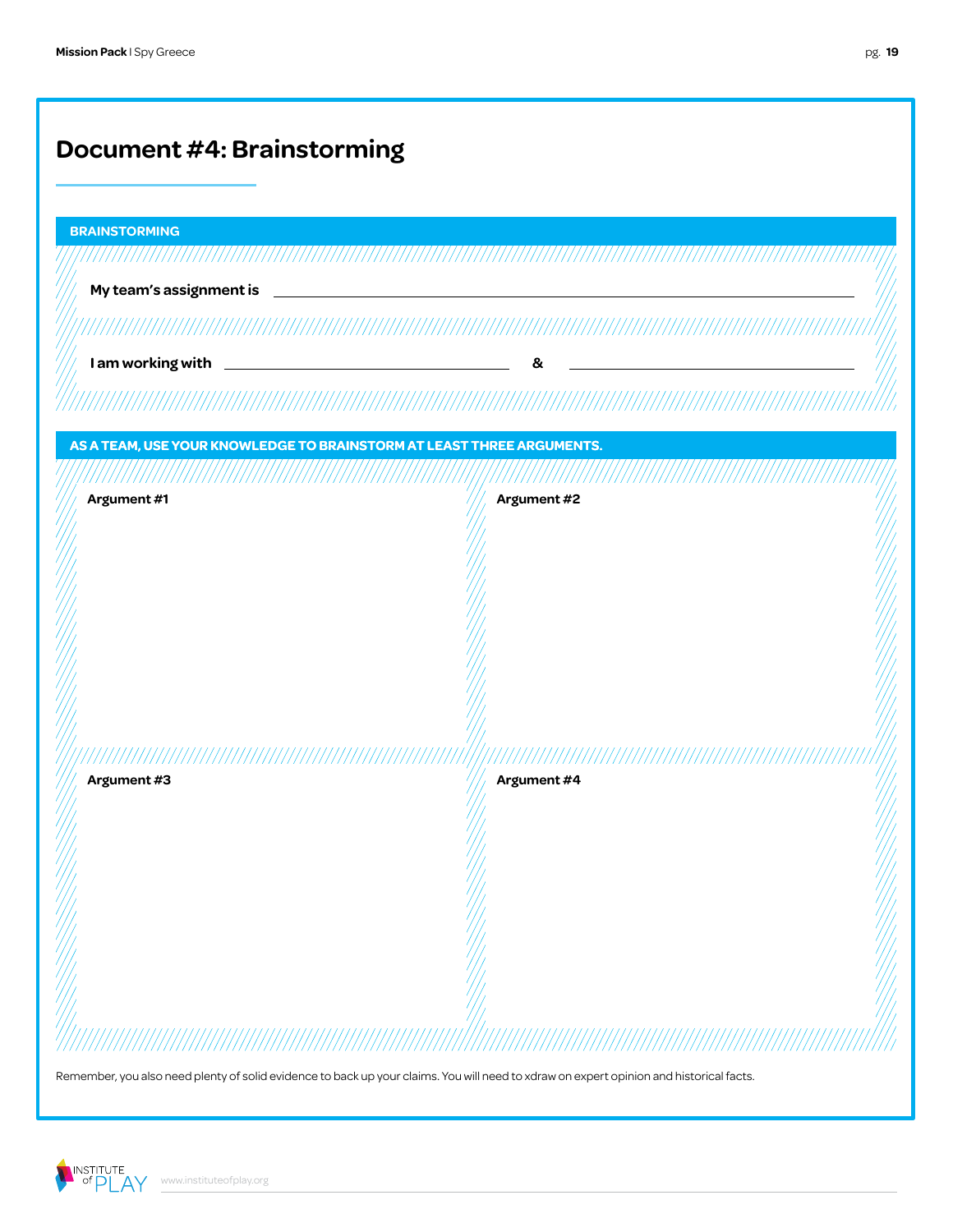| <b>BRAINSTORMING</b>                                                  |  |             |  |
|-----------------------------------------------------------------------|--|-------------|--|
| My team's assignment is                                               |  |             |  |
|                                                                       |  |             |  |
|                                                                       |  | &           |  |
|                                                                       |  |             |  |
|                                                                       |  |             |  |
| AS A TEAM, USE YOUR KNOWLEDGE TO BRAINSTORM AT LEAST THREE ARGUMENTS. |  |             |  |
| Argument #1                                                           |  | Argument #2 |  |
|                                                                       |  |             |  |
|                                                                       |  |             |  |
|                                                                       |  |             |  |
|                                                                       |  |             |  |
|                                                                       |  |             |  |
|                                                                       |  |             |  |
|                                                                       |  |             |  |
| Argument #3                                                           |  | Argument #4 |  |
|                                                                       |  |             |  |
|                                                                       |  |             |  |
|                                                                       |  |             |  |
|                                                                       |  |             |  |
|                                                                       |  |             |  |

Remember, you also need plenty of solid evidence to back up your claims. You will need to xdraw on expert opinion and historical facts.

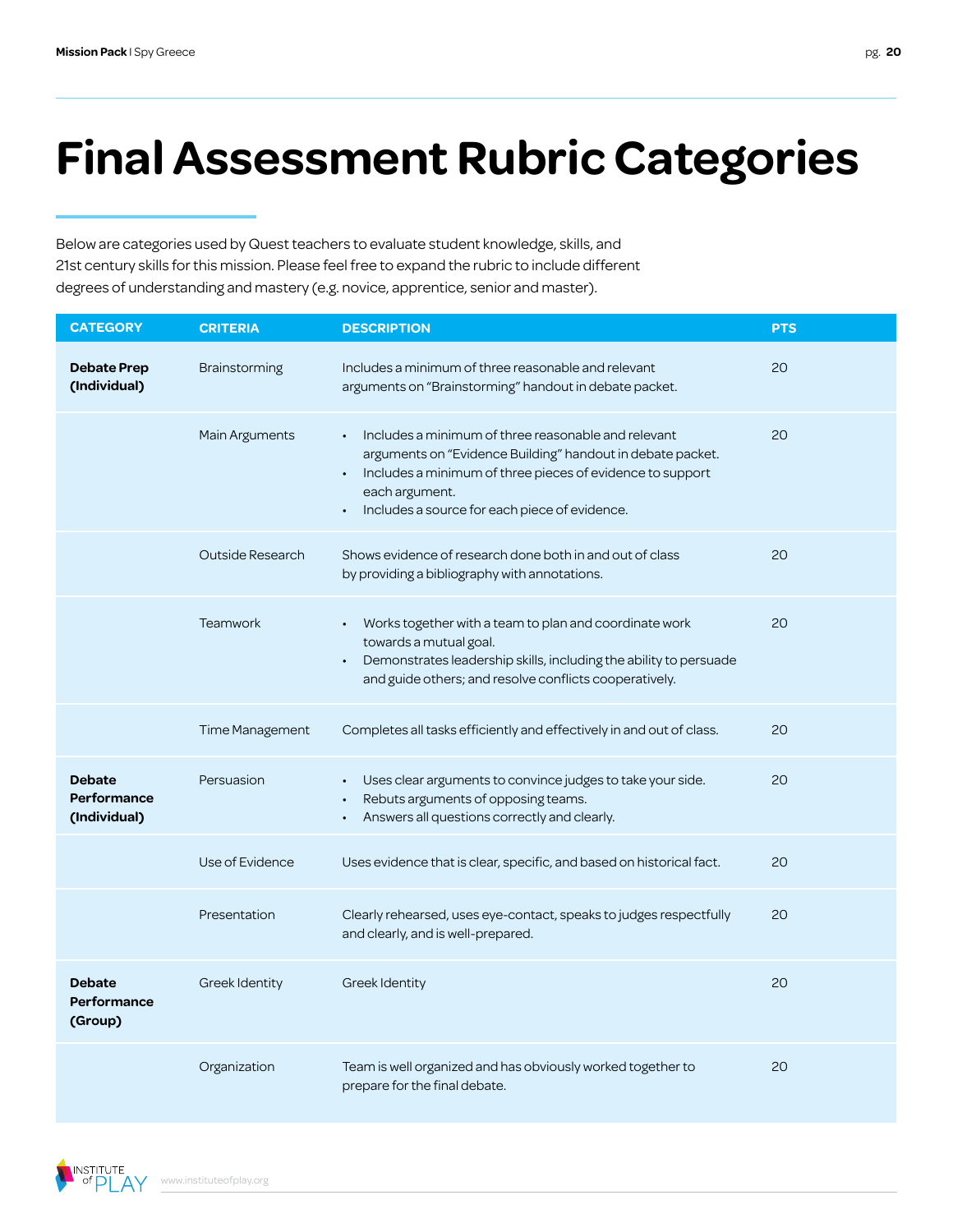# **Final Assessment Rubric Categories**

Below are categories used by Quest teachers to evaluate student knowledge, skills, and 21st century skills for this mission. Please feel free to expand the rubric to include different degrees of understanding and mastery (e.g. novice, apprentice, senior and master).

| <b>CATEGORY</b>                              | <b>CRITERIA</b>        | <b>DESCRIPTION</b>                                                                                                                                                                                                                                | <b>PTS</b> |
|----------------------------------------------|------------------------|---------------------------------------------------------------------------------------------------------------------------------------------------------------------------------------------------------------------------------------------------|------------|
| <b>Debate Prep</b><br>(Individual)           | Brainstorming          | Includes a minimum of three reasonable and relevant<br>arguments on "Brainstorming" handout in debate packet.                                                                                                                                     | 20         |
|                                              | Main Arguments         | Includes a minimum of three reasonable and relevant<br>arguments on "Evidence Building" handout in debate packet.<br>Includes a minimum of three pieces of evidence to support<br>each argument.<br>Includes a source for each piece of evidence. | 20         |
|                                              | Outside Research       | Shows evidence of research done both in and out of class<br>by providing a bibliography with annotations.                                                                                                                                         | 20         |
|                                              | <b>Teamwork</b>        | Works together with a team to plan and coordinate work<br>towards a mutual goal.<br>Demonstrates leadership skills, including the ability to persuade<br>and guide others; and resolve conflicts cooperatively.                                   | 20         |
|                                              | <b>Time Management</b> | Completes all tasks efficiently and effectively in and out of class.                                                                                                                                                                              | 20         |
| <b>Debate</b><br>Performance<br>(Individual) | Persuasion             | Uses clear arguments to convince judges to take your side.<br>Rebuts arguments of opposing teams.<br>Answers all questions correctly and clearly.                                                                                                 | 20         |
|                                              | Use of Evidence        | Uses evidence that is clear, specific, and based on historical fact.                                                                                                                                                                              | 20         |
|                                              | Presentation           | Clearly rehearsed, uses eye-contact, speaks to judges respectfully<br>and clearly, and is well-prepared.                                                                                                                                          | 20         |
| <b>Debate</b><br>Performance<br>(Group)      | Greek Identity         | Greek Identity                                                                                                                                                                                                                                    | 20         |
|                                              | Organization           | Team is well organized and has obviously worked together to<br>prepare for the final debate.                                                                                                                                                      | 20         |

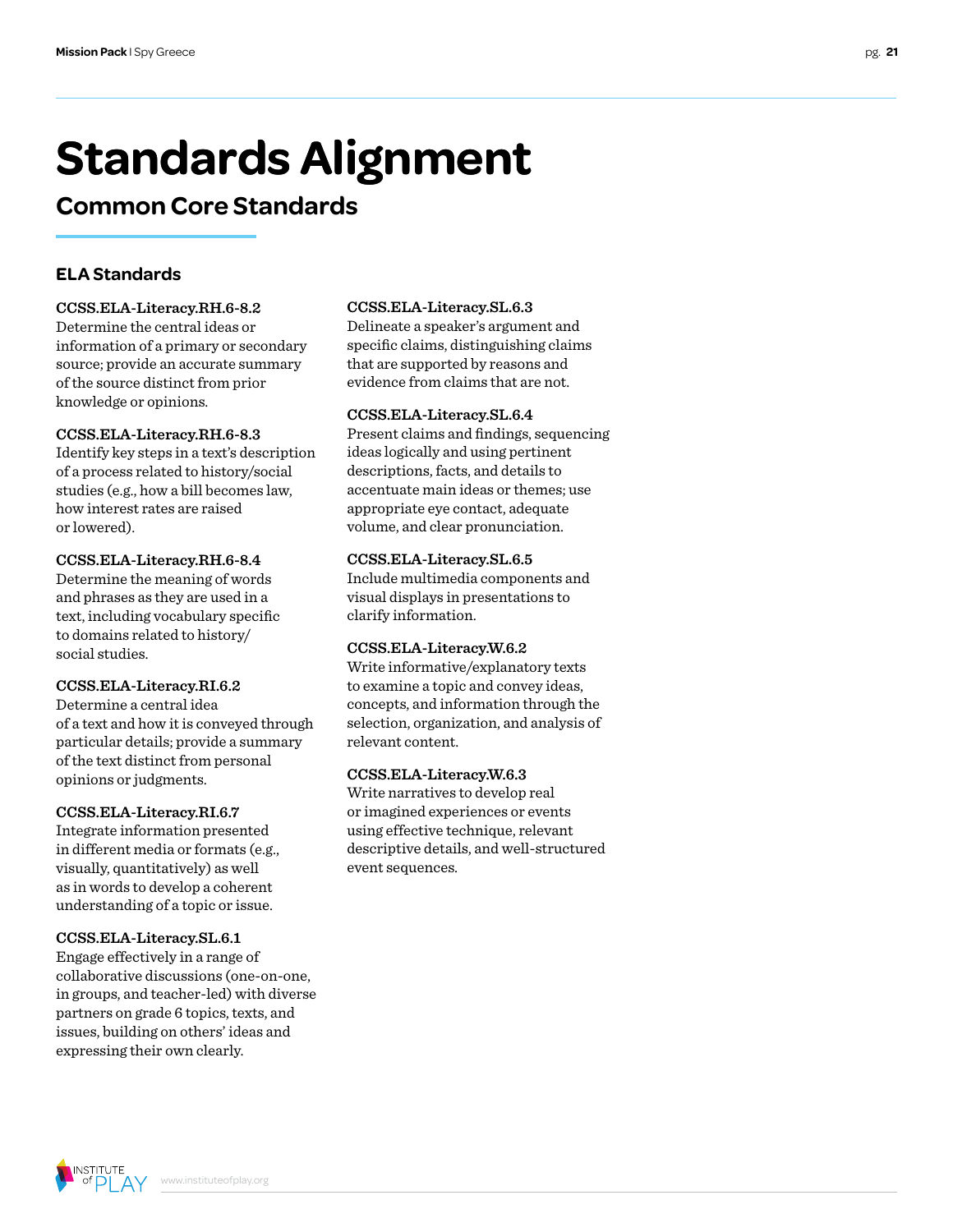# **Standards Alignment**

### **Common Core Standards**

#### **ELA Standards**

#### **CCSS.ELA-Literacy.RH.6-8.2**

Determine the central ideas or information of a primary or secondary source; provide an accurate summary of the source distinct from prior knowledge or opinions.

#### **CCSS.ELA-Literacy.RH.6-8.3**

Identify key steps in a text's description of a process related to history/social studies (e.g., how a bill becomes law, how interest rates are raised or lowered).

#### **CCSS.ELA-Literacy.RH.6-8.4**

Determine the meaning of words and phrases as they are used in a text, including vocabulary specific to domains related to history/ social studies.

#### **CCSS.ELA-Literacy.RI.6.2**

Determine a central idea of a text and how it is conveyed through particular details; provide a summary of the text distinct from personal opinions or judgments.

#### **CCSS.ELA-Literacy.RI.6.7**

Integrate information presented in different media or formats (e.g., visually, quantitatively) as well as in words to develop a coherent understanding of a topic or issue.

#### **CCSS.ELA-Literacy.SL.6.1**

Engage effectively in a range of collaborative discussions (one-on-one, in groups, and teacher-led) with diverse partners on grade 6 topics, texts, and issues, building on others' ideas and expressing their own clearly.

#### **CCSS.ELA-Literacy.SL.6.3**

Delineate a speaker's argument and specific claims, distinguishing claims that are supported by reasons and evidence from claims that are not.

#### **CCSS.ELA-Literacy.SL.6.4**

Present claims and findings, sequencing ideas logically and using pertinent descriptions, facts, and details to accentuate main ideas or themes; use appropriate eye contact, adequate volume, and clear pronunciation.

#### **CCSS.ELA-Literacy.SL.6.5**

Include multimedia components and visual displays in presentations to clarify information.

#### **CCSS.ELA-Literacy.W.6.2**

Write informative/explanatory texts to examine a topic and convey ideas, concepts, and information through the selection, organization, and analysis of relevant content.

#### **CCSS.ELA-Literacy.W.6.3**

Write narratives to develop real or imagined experiences or events using effective technique, relevant descriptive details, and well-structured event sequences.

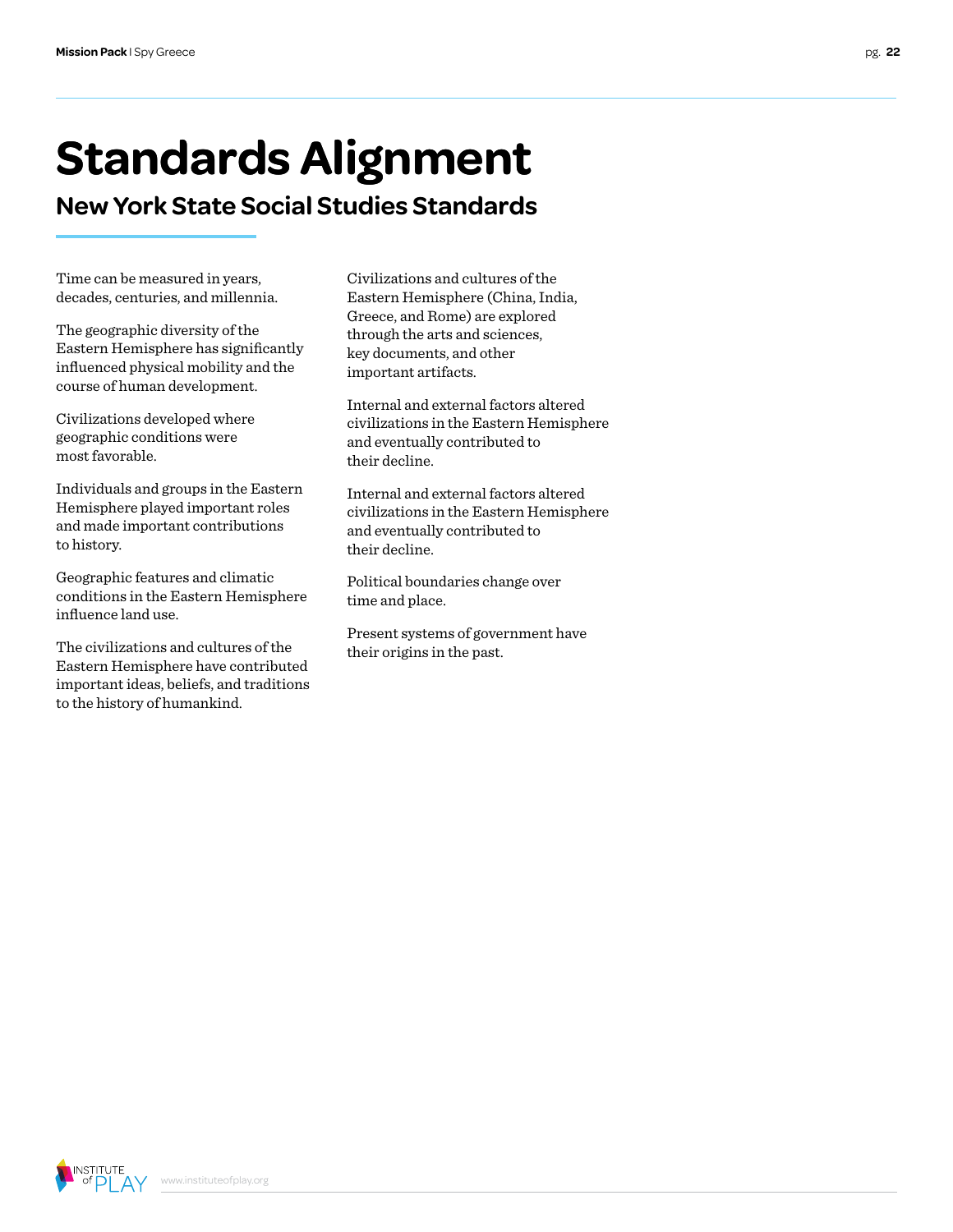# **Standards Alignment**

**New York State Social Studies Standards**

Time can be measured in years, decades, centuries, and millennia.

The geographic diversity of the Eastern Hemisphere has significantly influenced physical mobility and the course of human development.

Civilizations developed where geographic conditions were most favorable.

Individuals and groups in the Eastern Hemisphere played important roles and made important contributions to history.

Geographic features and climatic conditions in the Eastern Hemisphere influence land use.

The civilizations and cultures of the Eastern Hemisphere have contributed important ideas, beliefs, and traditions to the history of humankind.

Civilizations and cultures of the Eastern Hemisphere (China, India, Greece, and Rome) are explored through the arts and sciences, key documents, and other important artifacts.

Internal and external factors altered civilizations in the Eastern Hemisphere and eventually contributed to their decline.

Internal and external factors altered civilizations in the Eastern Hemisphere and eventually contributed to their decline.

Political boundaries change over time and place.

Present systems of government have their origins in the past.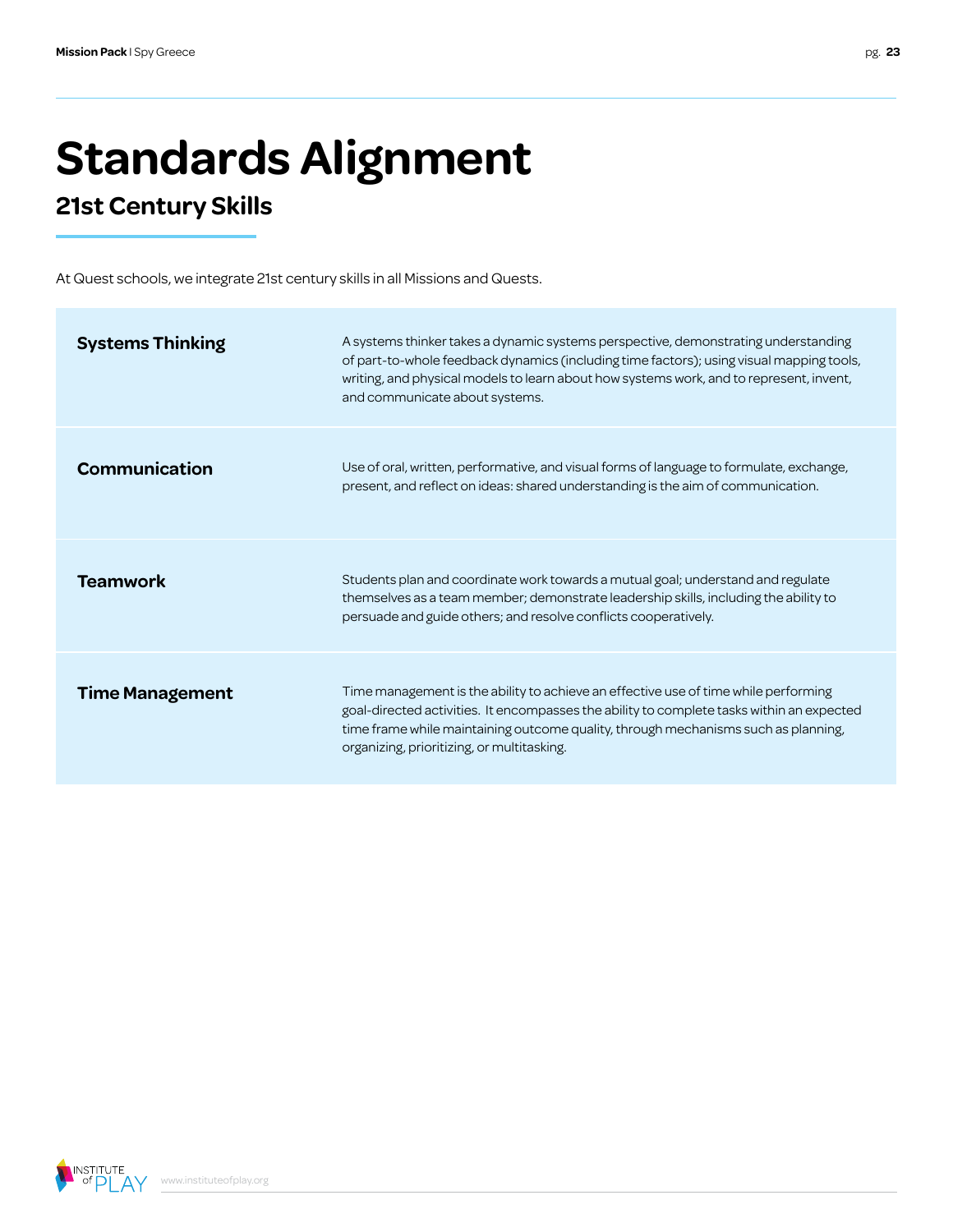# **Standards Alignment**

### **21st Century Skills**

At Quest schools, we integrate 21st century skills in all Missions and Quests.

| <b>Systems Thinking</b> | A systems thinker takes a dynamic systems perspective, demonstrating understanding<br>of part-to-whole feedback dynamics (including time factors); using visual mapping tools,<br>writing, and physical models to learn about how systems work, and to represent, invent,<br>and communicate about systems.          |
|-------------------------|----------------------------------------------------------------------------------------------------------------------------------------------------------------------------------------------------------------------------------------------------------------------------------------------------------------------|
| Communication           | Use of oral, written, performative, and visual forms of language to formulate, exchange,<br>present, and reflect on ideas: shared understanding is the aim of communication.                                                                                                                                         |
| <b>Teamwork</b>         | Students plan and coordinate work towards a mutual goal; understand and regulate<br>themselves as a team member; demonstrate leadership skills, including the ability to<br>persuade and guide others; and resolve conflicts cooperatively.                                                                          |
| <b>Time Management</b>  | Time management is the ability to achieve an effective use of time while performing<br>goal-directed activities. It encompasses the ability to complete tasks within an expected<br>time frame while maintaining outcome quality, through mechanisms such as planning,<br>organizing, prioritizing, or multitasking. |

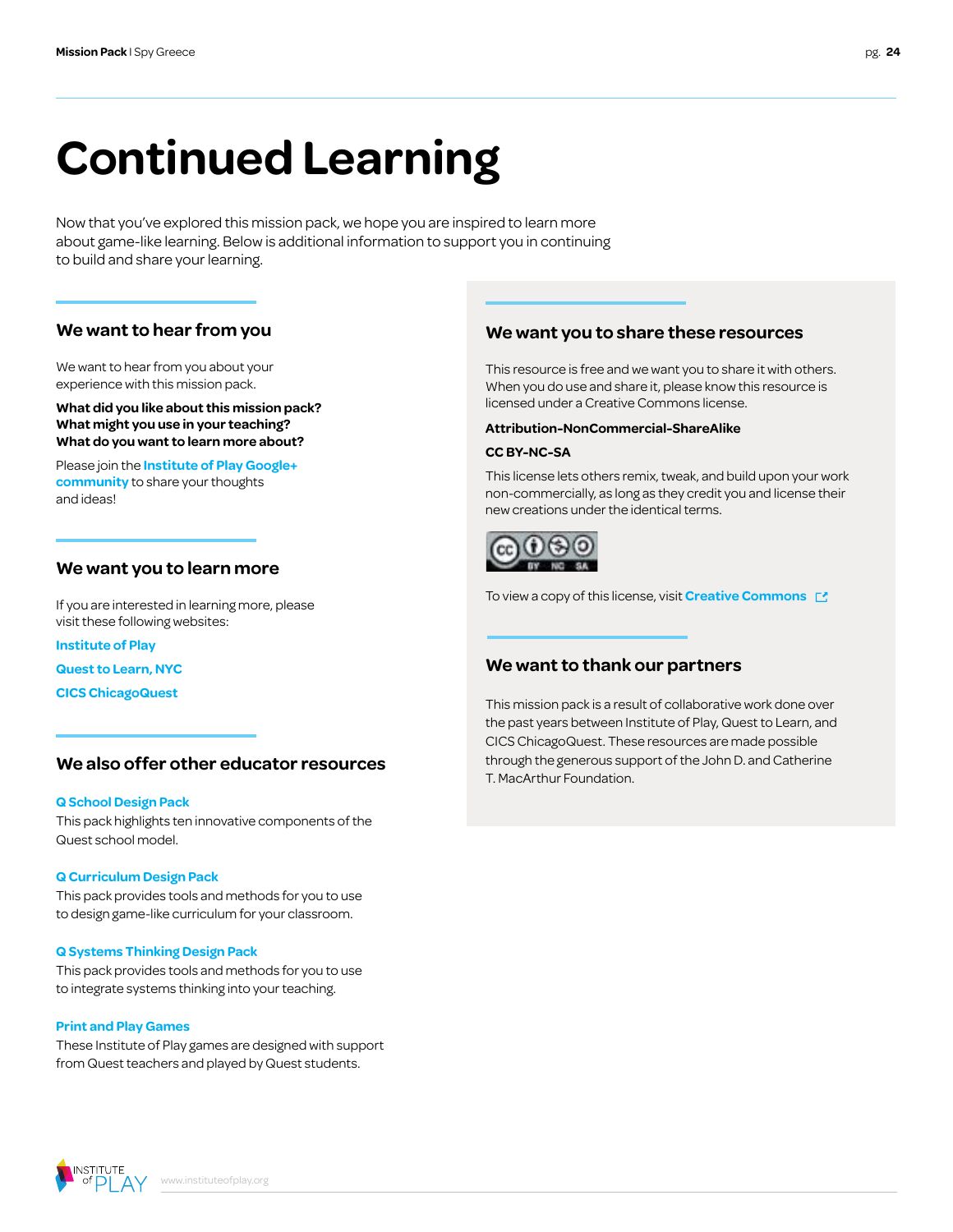# **Continued Learning**

Now that you've explored this mission pack, we hope you are inspired to learn more about game-like learning. Below is additional information to support you in continuing to build and share your learning.

#### **We want to hear from you**

We want to hear from you about your experience with this mission pack.

**What did you like about this mission pack? What might you use in your teaching? What do you want to learn more about?**

Please join the **[Institute of Play Google+](https://plus.google.com/109931113406134913780)  [community](https://plus.google.com/109931113406134913780)** to share your thoughts and ideas!

#### **We want you to learn more**

If you are interested in learning more, please visit these following websites:

**[Institute of Play](http://www.instituteofplay.org)**

**[Quest to Learn, NYC](http://www.q2l.org)**

**[CICS ChicagoQuest](http://www.chicagoquest.org)**

#### **We also offer other educator resources**

#### **[Q School Design Pack](http://www.instituteofplay.org/work/projects/q-design-packs/q-school-design-pack/)**

[This pack highlights ten innovative components of the](http://www.instituteofplay.org/work/projects/q-design-packs/q-school-design-pack/)  [Quest school model.](http://www.instituteofplay.org/work/projects/q-design-packs/q-school-design-pack/)

#### **[Q Curriculum Design Pack](http://www.instituteofplay.org/work/projects/q-design-packs/q-curriculum-design-pack/)**

This pack provides tools and methods for you to use to design game-like curriculum for your classroom.

#### **[Q Systems Thinking Design Pack](http://www.instituteofplay.org/work/projects/q-design-packs/q-systems-thinking-design-pack/)**

[This pack provides tools and methods for you to use](http://www.instituteofplay.org/work/projects/q-design-packs/q-systems-thinking-design-pack/)  [to integrate systems thinking into your teaching.](http://www.instituteofplay.org/work/projects/q-design-packs/q-systems-thinking-design-pack/)

#### **[Print and Play Games](http://www.instituteofplay.org/work/projects/print-and-play-games)**

[These Institute of Play games are designed with support](http://www.instituteofplay.org/work/projects/print-and-play-games)  [from Quest teachers and played by Quest students.](http://www.instituteofplay.org/work/projects/print-and-play-games)

#### **We want you to share these resources**

This resource is free and we want you to share it with others. When you do use and share it, please know this resource is licensed under a Creative Commons license.

#### **Attribution-NonCommercial-ShareAlike**

#### **CC BY-NC-SA**

This license lets others remix, tweak, and build upon your work non-commercially, as long as they credit you and license their new creations under the identical terms.



To view a copy of this license, visit **[Creative Commons](http://creativecommons.org/licenses/by-nc-sa/3.0/us/)** 

#### **We want to thank our partners**

This mission pack is a result of collaborative work done over the past years between Institute of Play, Quest to Learn, and CICS ChicagoQuest. These resources are made possible through the generous support of the John D. and Catherine T. MacArthur Foundation.